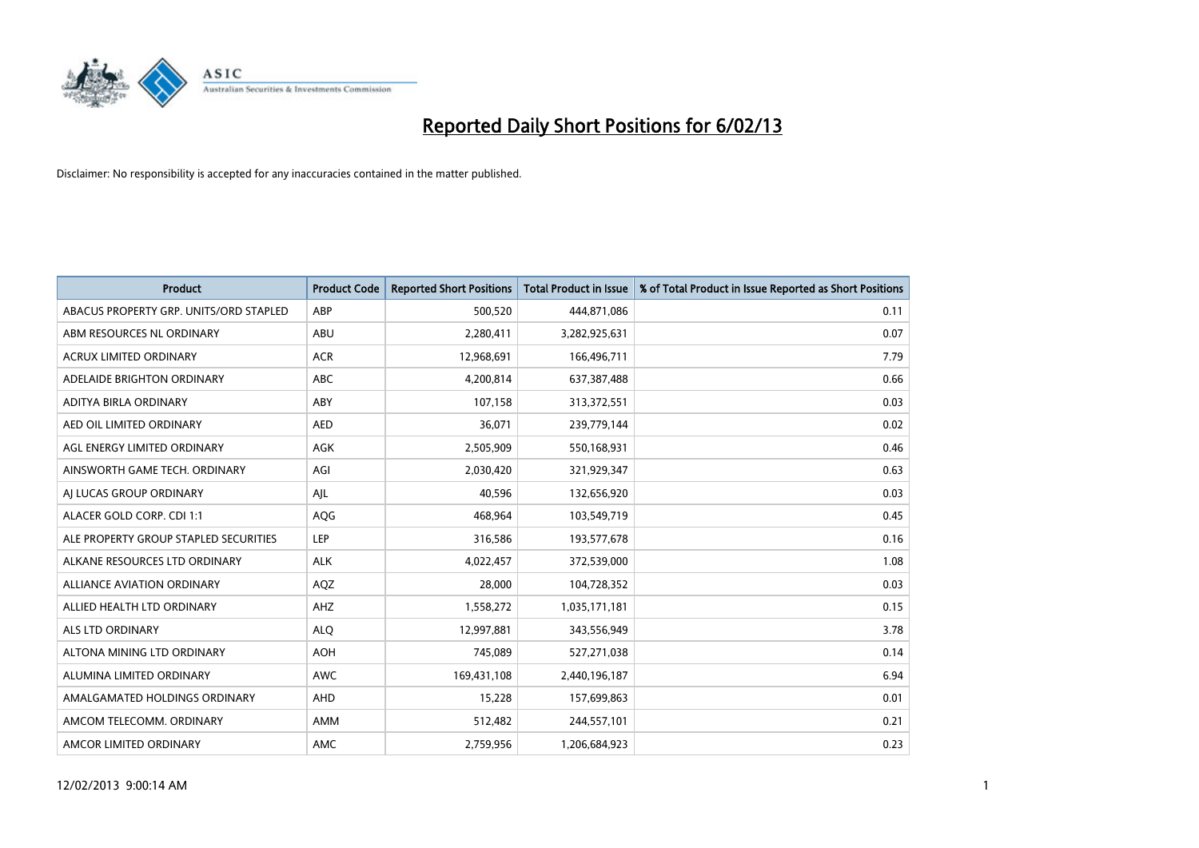

| <b>Product</b>                         | <b>Product Code</b> | <b>Reported Short Positions</b> | <b>Total Product in Issue</b> | % of Total Product in Issue Reported as Short Positions |
|----------------------------------------|---------------------|---------------------------------|-------------------------------|---------------------------------------------------------|
| ABACUS PROPERTY GRP. UNITS/ORD STAPLED | ABP                 | 500,520                         | 444,871,086                   | 0.11                                                    |
| ABM RESOURCES NL ORDINARY              | ABU                 | 2,280,411                       | 3,282,925,631                 | 0.07                                                    |
| <b>ACRUX LIMITED ORDINARY</b>          | <b>ACR</b>          | 12,968,691                      | 166,496,711                   | 7.79                                                    |
| ADELAIDE BRIGHTON ORDINARY             | <b>ABC</b>          | 4,200,814                       | 637,387,488                   | 0.66                                                    |
| <b>ADITYA BIRLA ORDINARY</b>           | ABY                 | 107,158                         | 313,372,551                   | 0.03                                                    |
| AED OIL LIMITED ORDINARY               | <b>AED</b>          | 36,071                          | 239,779,144                   | 0.02                                                    |
| AGL ENERGY LIMITED ORDINARY            | AGK                 | 2,505,909                       | 550,168,931                   | 0.46                                                    |
| AINSWORTH GAME TECH. ORDINARY          | AGI                 | 2,030,420                       | 321,929,347                   | 0.63                                                    |
| AI LUCAS GROUP ORDINARY                | AJL                 | 40,596                          | 132,656,920                   | 0.03                                                    |
| ALACER GOLD CORP. CDI 1:1              | AQG                 | 468,964                         | 103,549,719                   | 0.45                                                    |
| ALE PROPERTY GROUP STAPLED SECURITIES  | <b>LEP</b>          | 316,586                         | 193,577,678                   | 0.16                                                    |
| ALKANE RESOURCES LTD ORDINARY          | <b>ALK</b>          | 4,022,457                       | 372,539,000                   | 1.08                                                    |
| <b>ALLIANCE AVIATION ORDINARY</b>      | AQZ                 | 28,000                          | 104,728,352                   | 0.03                                                    |
| ALLIED HEALTH LTD ORDINARY             | AHZ                 | 1,558,272                       | 1,035,171,181                 | 0.15                                                    |
| <b>ALS LTD ORDINARY</b>                | <b>ALQ</b>          | 12,997,881                      | 343,556,949                   | 3.78                                                    |
| ALTONA MINING LTD ORDINARY             | <b>AOH</b>          | 745,089                         | 527,271,038                   | 0.14                                                    |
| ALUMINA LIMITED ORDINARY               | <b>AWC</b>          | 169,431,108                     | 2,440,196,187                 | 6.94                                                    |
| AMALGAMATED HOLDINGS ORDINARY          | <b>AHD</b>          | 15,228                          | 157,699,863                   | 0.01                                                    |
| AMCOM TELECOMM. ORDINARY               | AMM                 | 512,482                         | 244,557,101                   | 0.21                                                    |
| AMCOR LIMITED ORDINARY                 | AMC                 | 2,759,956                       | 1,206,684,923                 | 0.23                                                    |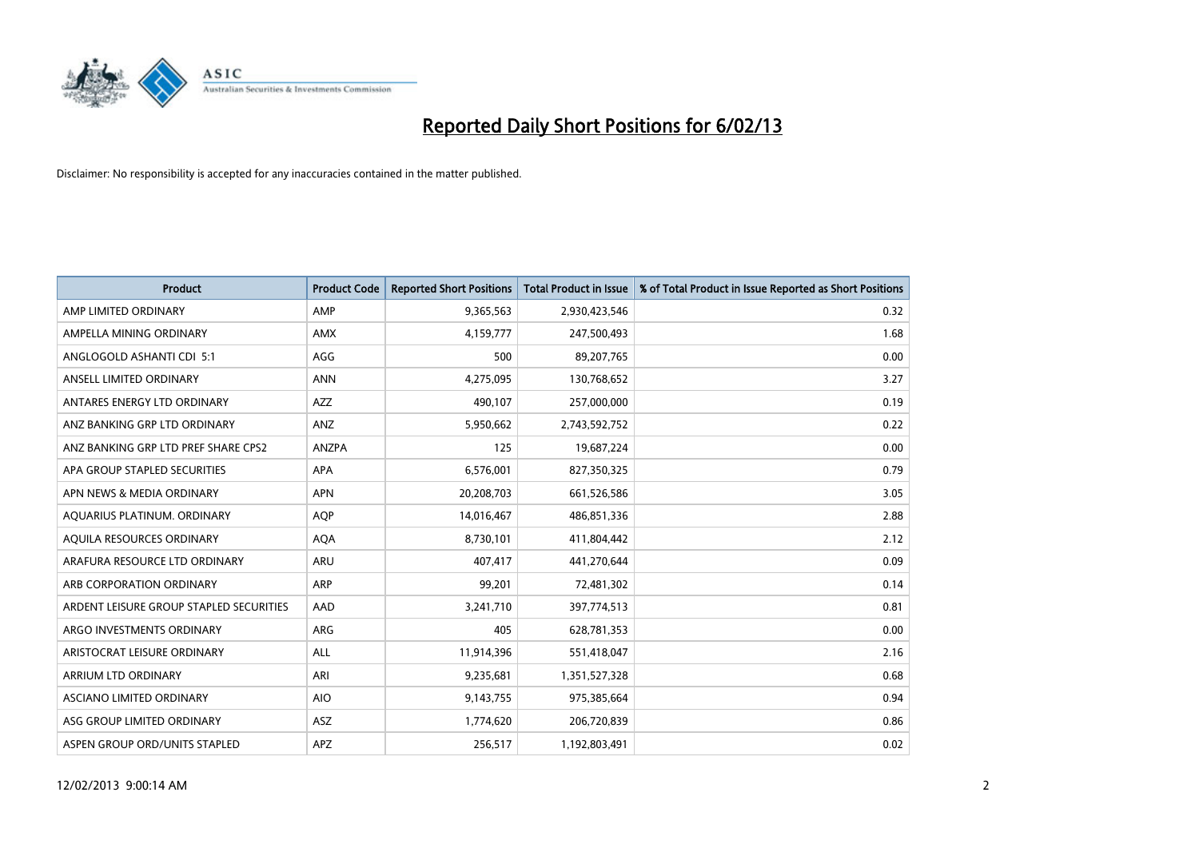

| <b>Product</b>                          | <b>Product Code</b> | <b>Reported Short Positions</b> | <b>Total Product in Issue</b> | % of Total Product in Issue Reported as Short Positions |
|-----------------------------------------|---------------------|---------------------------------|-------------------------------|---------------------------------------------------------|
| AMP LIMITED ORDINARY                    | AMP                 | 9,365,563                       | 2,930,423,546                 | 0.32                                                    |
| AMPELLA MINING ORDINARY                 | <b>AMX</b>          | 4,159,777                       | 247,500,493                   | 1.68                                                    |
| ANGLOGOLD ASHANTI CDI 5:1               | AGG                 | 500                             | 89,207,765                    | 0.00                                                    |
| ANSELL LIMITED ORDINARY                 | <b>ANN</b>          | 4,275,095                       | 130,768,652                   | 3.27                                                    |
| ANTARES ENERGY LTD ORDINARY             | <b>AZZ</b>          | 490,107                         | 257,000,000                   | 0.19                                                    |
| ANZ BANKING GRP LTD ORDINARY            | ANZ                 | 5,950,662                       | 2,743,592,752                 | 0.22                                                    |
| ANZ BANKING GRP LTD PREF SHARE CPS2     | <b>ANZPA</b>        | 125                             | 19,687,224                    | 0.00                                                    |
| APA GROUP STAPLED SECURITIES            | <b>APA</b>          | 6,576,001                       | 827,350,325                   | 0.79                                                    |
| APN NEWS & MEDIA ORDINARY               | <b>APN</b>          | 20,208,703                      | 661,526,586                   | 3.05                                                    |
| AQUARIUS PLATINUM. ORDINARY             | <b>AOP</b>          | 14,016,467                      | 486,851,336                   | 2.88                                                    |
| AQUILA RESOURCES ORDINARY               | <b>AQA</b>          | 8,730,101                       | 411,804,442                   | 2.12                                                    |
| ARAFURA RESOURCE LTD ORDINARY           | <b>ARU</b>          | 407,417                         | 441,270,644                   | 0.09                                                    |
| ARB CORPORATION ORDINARY                | <b>ARP</b>          | 99,201                          | 72,481,302                    | 0.14                                                    |
| ARDENT LEISURE GROUP STAPLED SECURITIES | AAD                 | 3,241,710                       | 397,774,513                   | 0.81                                                    |
| ARGO INVESTMENTS ORDINARY               | <b>ARG</b>          | 405                             | 628,781,353                   | 0.00                                                    |
| ARISTOCRAT LEISURE ORDINARY             | ALL                 | 11,914,396                      | 551,418,047                   | 2.16                                                    |
| ARRIUM LTD ORDINARY                     | ARI                 | 9,235,681                       | 1,351,527,328                 | 0.68                                                    |
| ASCIANO LIMITED ORDINARY                | <b>AIO</b>          | 9,143,755                       | 975,385,664                   | 0.94                                                    |
| ASG GROUP LIMITED ORDINARY              | <b>ASZ</b>          | 1,774,620                       | 206,720,839                   | 0.86                                                    |
| ASPEN GROUP ORD/UNITS STAPLED           | <b>APZ</b>          | 256,517                         | 1,192,803,491                 | 0.02                                                    |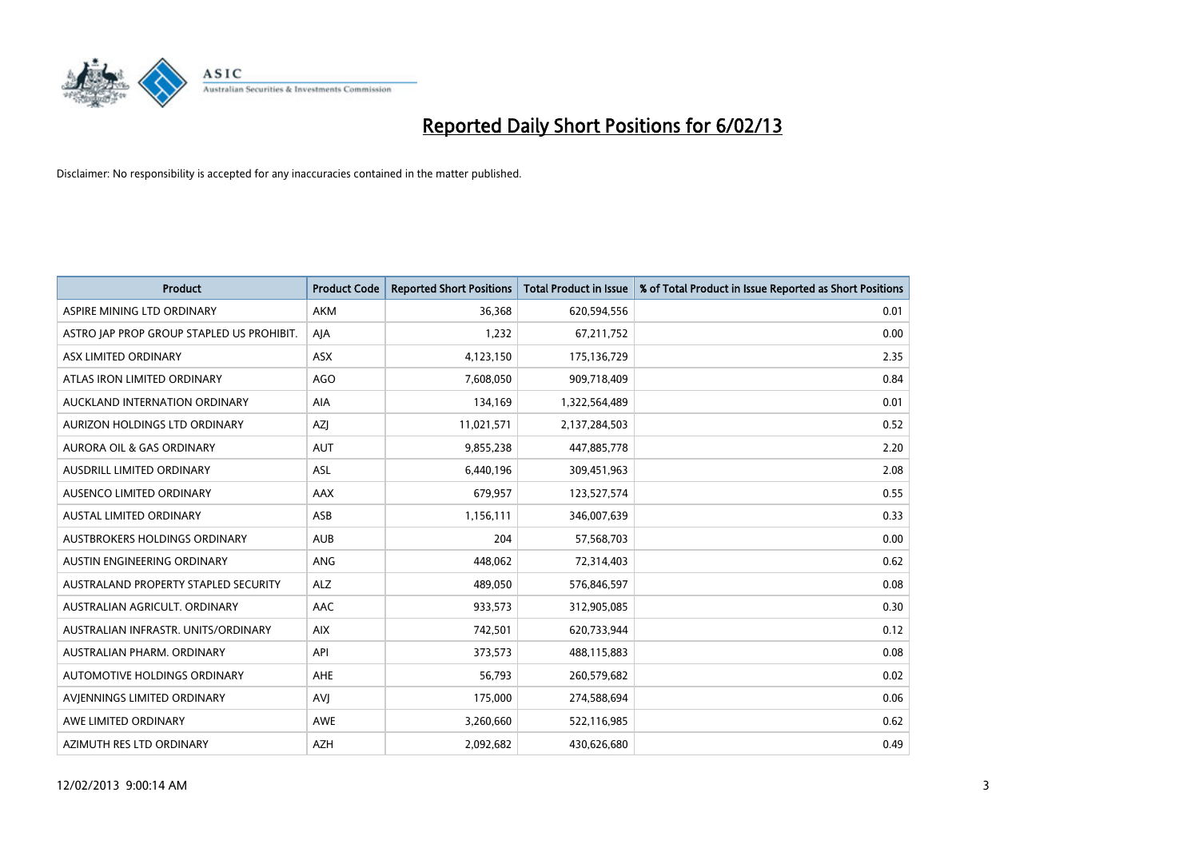

| <b>Product</b>                            | <b>Product Code</b> | <b>Reported Short Positions</b> | <b>Total Product in Issue</b> | % of Total Product in Issue Reported as Short Positions |
|-------------------------------------------|---------------------|---------------------------------|-------------------------------|---------------------------------------------------------|
| ASPIRE MINING LTD ORDINARY                | <b>AKM</b>          | 36.368                          | 620,594,556                   | 0.01                                                    |
| ASTRO JAP PROP GROUP STAPLED US PROHIBIT. | AJA                 | 1,232                           | 67,211,752                    | 0.00                                                    |
| ASX LIMITED ORDINARY                      | <b>ASX</b>          | 4,123,150                       | 175,136,729                   | 2.35                                                    |
| ATLAS IRON LIMITED ORDINARY               | AGO                 | 7,608,050                       | 909,718,409                   | 0.84                                                    |
| AUCKLAND INTERNATION ORDINARY             | <b>AIA</b>          | 134,169                         | 1,322,564,489                 | 0.01                                                    |
| AURIZON HOLDINGS LTD ORDINARY             | <b>AZI</b>          | 11,021,571                      | 2,137,284,503                 | 0.52                                                    |
| AURORA OIL & GAS ORDINARY                 | <b>AUT</b>          | 9,855,238                       | 447,885,778                   | 2.20                                                    |
| <b>AUSDRILL LIMITED ORDINARY</b>          | <b>ASL</b>          | 6,440,196                       | 309,451,963                   | 2.08                                                    |
| AUSENCO LIMITED ORDINARY                  | AAX                 | 679,957                         | 123,527,574                   | 0.55                                                    |
| <b>AUSTAL LIMITED ORDINARY</b>            | ASB                 | 1,156,111                       | 346,007,639                   | 0.33                                                    |
| AUSTBROKERS HOLDINGS ORDINARY             | <b>AUB</b>          | 204                             | 57,568,703                    | 0.00                                                    |
| AUSTIN ENGINEERING ORDINARY               | <b>ANG</b>          | 448,062                         | 72,314,403                    | 0.62                                                    |
| AUSTRALAND PROPERTY STAPLED SECURITY      | <b>ALZ</b>          | 489,050                         | 576,846,597                   | 0.08                                                    |
| AUSTRALIAN AGRICULT, ORDINARY             | AAC                 | 933,573                         | 312,905,085                   | 0.30                                                    |
| AUSTRALIAN INFRASTR, UNITS/ORDINARY       | <b>AIX</b>          | 742,501                         | 620,733,944                   | 0.12                                                    |
| AUSTRALIAN PHARM. ORDINARY                | API                 | 373,573                         | 488,115,883                   | 0.08                                                    |
| AUTOMOTIVE HOLDINGS ORDINARY              | AHE                 | 56,793                          | 260,579,682                   | 0.02                                                    |
| AVIENNINGS LIMITED ORDINARY               | AVI                 | 175,000                         | 274,588,694                   | 0.06                                                    |
| AWE LIMITED ORDINARY                      | <b>AWE</b>          | 3,260,660                       | 522,116,985                   | 0.62                                                    |
| AZIMUTH RES LTD ORDINARY                  | <b>AZH</b>          | 2,092,682                       | 430,626,680                   | 0.49                                                    |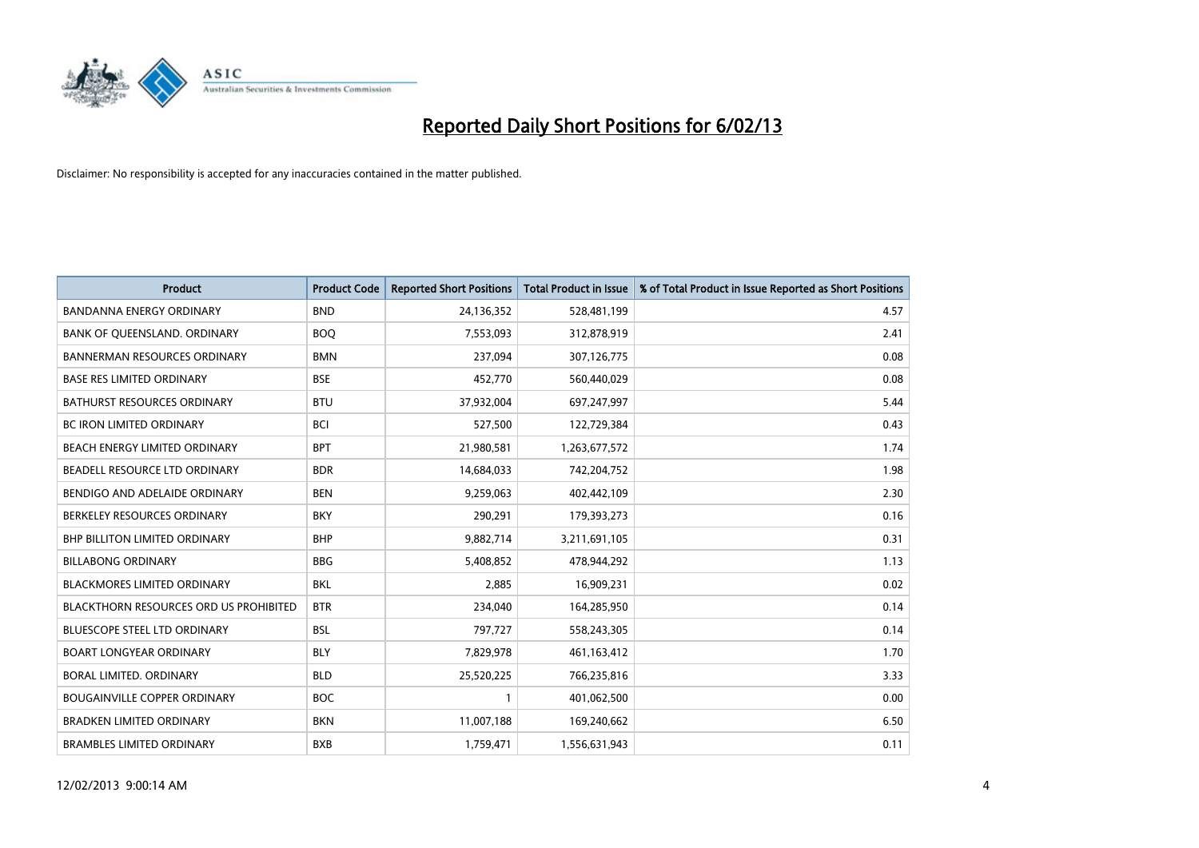

| <b>Product</b>                                | <b>Product Code</b> | <b>Reported Short Positions</b> | <b>Total Product in Issue</b> | % of Total Product in Issue Reported as Short Positions |
|-----------------------------------------------|---------------------|---------------------------------|-------------------------------|---------------------------------------------------------|
| <b>BANDANNA ENERGY ORDINARY</b>               | <b>BND</b>          | 24,136,352                      | 528,481,199                   | 4.57                                                    |
| BANK OF QUEENSLAND. ORDINARY                  | <b>BOO</b>          | 7,553,093                       | 312,878,919                   | 2.41                                                    |
| <b>BANNERMAN RESOURCES ORDINARY</b>           | <b>BMN</b>          | 237,094                         | 307,126,775                   | 0.08                                                    |
| <b>BASE RES LIMITED ORDINARY</b>              | <b>BSE</b>          | 452,770                         | 560,440,029                   | 0.08                                                    |
| <b>BATHURST RESOURCES ORDINARY</b>            | <b>BTU</b>          | 37,932,004                      | 697,247,997                   | 5.44                                                    |
| <b>BC IRON LIMITED ORDINARY</b>               | <b>BCI</b>          | 527,500                         | 122,729,384                   | 0.43                                                    |
| <b>BEACH ENERGY LIMITED ORDINARY</b>          | <b>BPT</b>          | 21,980,581                      | 1,263,677,572                 | 1.74                                                    |
| BEADELL RESOURCE LTD ORDINARY                 | <b>BDR</b>          | 14,684,033                      | 742,204,752                   | 1.98                                                    |
| BENDIGO AND ADELAIDE ORDINARY                 | <b>BEN</b>          | 9,259,063                       | 402,442,109                   | 2.30                                                    |
| BERKELEY RESOURCES ORDINARY                   | <b>BKY</b>          | 290,291                         | 179,393,273                   | 0.16                                                    |
| BHP BILLITON LIMITED ORDINARY                 | <b>BHP</b>          | 9,882,714                       | 3,211,691,105                 | 0.31                                                    |
| <b>BILLABONG ORDINARY</b>                     | <b>BBG</b>          | 5,408,852                       | 478,944,292                   | 1.13                                                    |
| BLACKMORES LIMITED ORDINARY                   | <b>BKL</b>          | 2,885                           | 16,909,231                    | 0.02                                                    |
| <b>BLACKTHORN RESOURCES ORD US PROHIBITED</b> | <b>BTR</b>          | 234,040                         | 164,285,950                   | 0.14                                                    |
| <b>BLUESCOPE STEEL LTD ORDINARY</b>           | <b>BSL</b>          | 797,727                         | 558,243,305                   | 0.14                                                    |
| <b>BOART LONGYEAR ORDINARY</b>                | <b>BLY</b>          | 7,829,978                       | 461,163,412                   | 1.70                                                    |
| BORAL LIMITED. ORDINARY                       | <b>BLD</b>          | 25,520,225                      | 766,235,816                   | 3.33                                                    |
| <b>BOUGAINVILLE COPPER ORDINARY</b>           | <b>BOC</b>          |                                 | 401,062,500                   | 0.00                                                    |
| <b>BRADKEN LIMITED ORDINARY</b>               | <b>BKN</b>          | 11,007,188                      | 169,240,662                   | 6.50                                                    |
| <b>BRAMBLES LIMITED ORDINARY</b>              | <b>BXB</b>          | 1,759,471                       | 1,556,631,943                 | 0.11                                                    |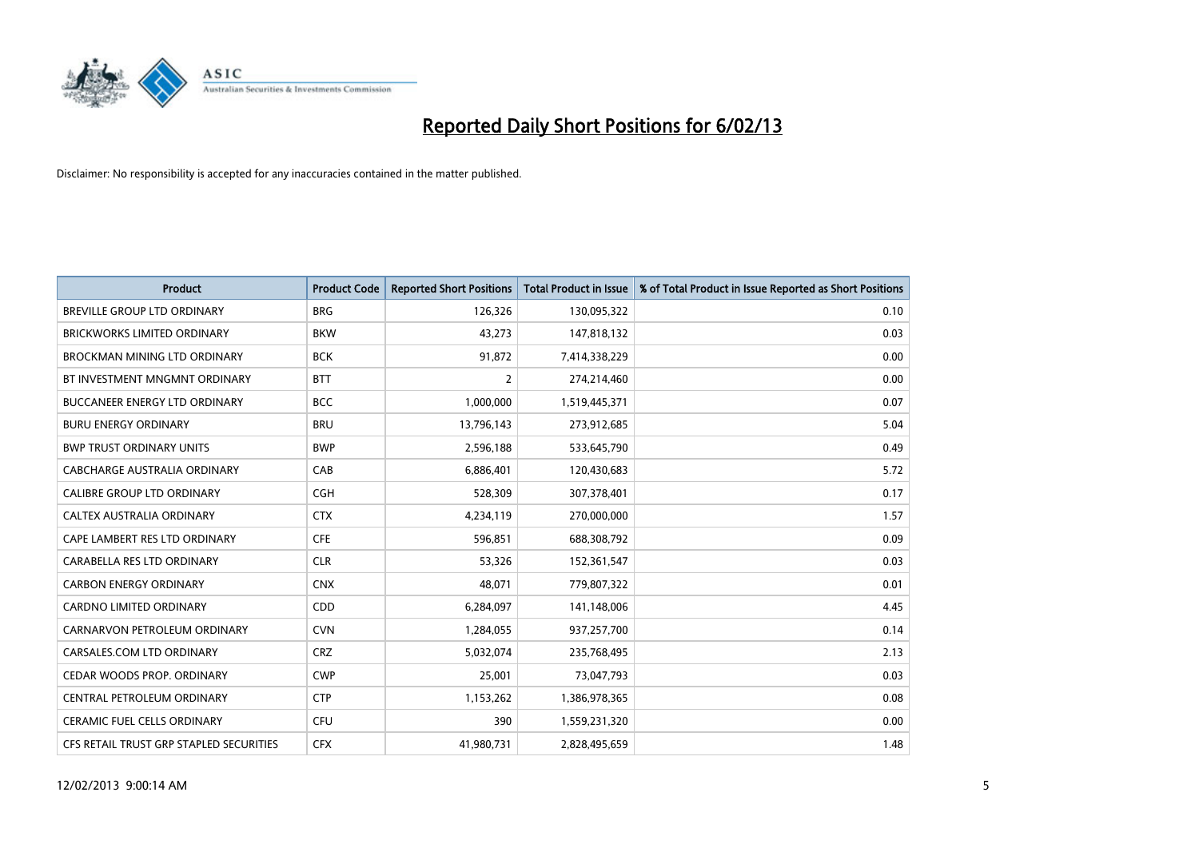

| <b>Product</b>                          | <b>Product Code</b> | <b>Reported Short Positions</b> | <b>Total Product in Issue</b> | % of Total Product in Issue Reported as Short Positions |
|-----------------------------------------|---------------------|---------------------------------|-------------------------------|---------------------------------------------------------|
| <b>BREVILLE GROUP LTD ORDINARY</b>      | <b>BRG</b>          | 126,326                         | 130,095,322                   | 0.10                                                    |
| BRICKWORKS LIMITED ORDINARY             | <b>BKW</b>          | 43,273                          | 147,818,132                   | 0.03                                                    |
| <b>BROCKMAN MINING LTD ORDINARY</b>     | <b>BCK</b>          | 91,872                          | 7,414,338,229                 | 0.00                                                    |
| BT INVESTMENT MNGMNT ORDINARY           | <b>BTT</b>          | 2                               | 274,214,460                   | 0.00                                                    |
| <b>BUCCANEER ENERGY LTD ORDINARY</b>    | <b>BCC</b>          | 1,000,000                       | 1,519,445,371                 | 0.07                                                    |
| <b>BURU ENERGY ORDINARY</b>             | <b>BRU</b>          | 13,796,143                      | 273,912,685                   | 5.04                                                    |
| <b>BWP TRUST ORDINARY UNITS</b>         | <b>BWP</b>          | 2,596,188                       | 533,645,790                   | 0.49                                                    |
| CABCHARGE AUSTRALIA ORDINARY            | CAB                 | 6,886,401                       | 120,430,683                   | 5.72                                                    |
| CALIBRE GROUP LTD ORDINARY              | <b>CGH</b>          | 528,309                         | 307,378,401                   | 0.17                                                    |
| <b>CALTEX AUSTRALIA ORDINARY</b>        | <b>CTX</b>          | 4,234,119                       | 270,000,000                   | 1.57                                                    |
| CAPE LAMBERT RES LTD ORDINARY           | <b>CFE</b>          | 596,851                         | 688,308,792                   | 0.09                                                    |
| CARABELLA RES LTD ORDINARY              | <b>CLR</b>          | 53,326                          | 152,361,547                   | 0.03                                                    |
| <b>CARBON ENERGY ORDINARY</b>           | <b>CNX</b>          | 48,071                          | 779,807,322                   | 0.01                                                    |
| <b>CARDNO LIMITED ORDINARY</b>          | CDD                 | 6,284,097                       | 141,148,006                   | 4.45                                                    |
| CARNARVON PETROLEUM ORDINARY            | <b>CVN</b>          | 1,284,055                       | 937,257,700                   | 0.14                                                    |
| CARSALES.COM LTD ORDINARY               | <b>CRZ</b>          | 5,032,074                       | 235,768,495                   | 2.13                                                    |
| CEDAR WOODS PROP. ORDINARY              | <b>CWP</b>          | 25,001                          | 73,047,793                    | 0.03                                                    |
| CENTRAL PETROLEUM ORDINARY              | <b>CTP</b>          | 1,153,262                       | 1,386,978,365                 | 0.08                                                    |
| <b>CERAMIC FUEL CELLS ORDINARY</b>      | CFU                 | 390                             | 1,559,231,320                 | 0.00                                                    |
| CFS RETAIL TRUST GRP STAPLED SECURITIES | <b>CFX</b>          | 41,980,731                      | 2,828,495,659                 | 1.48                                                    |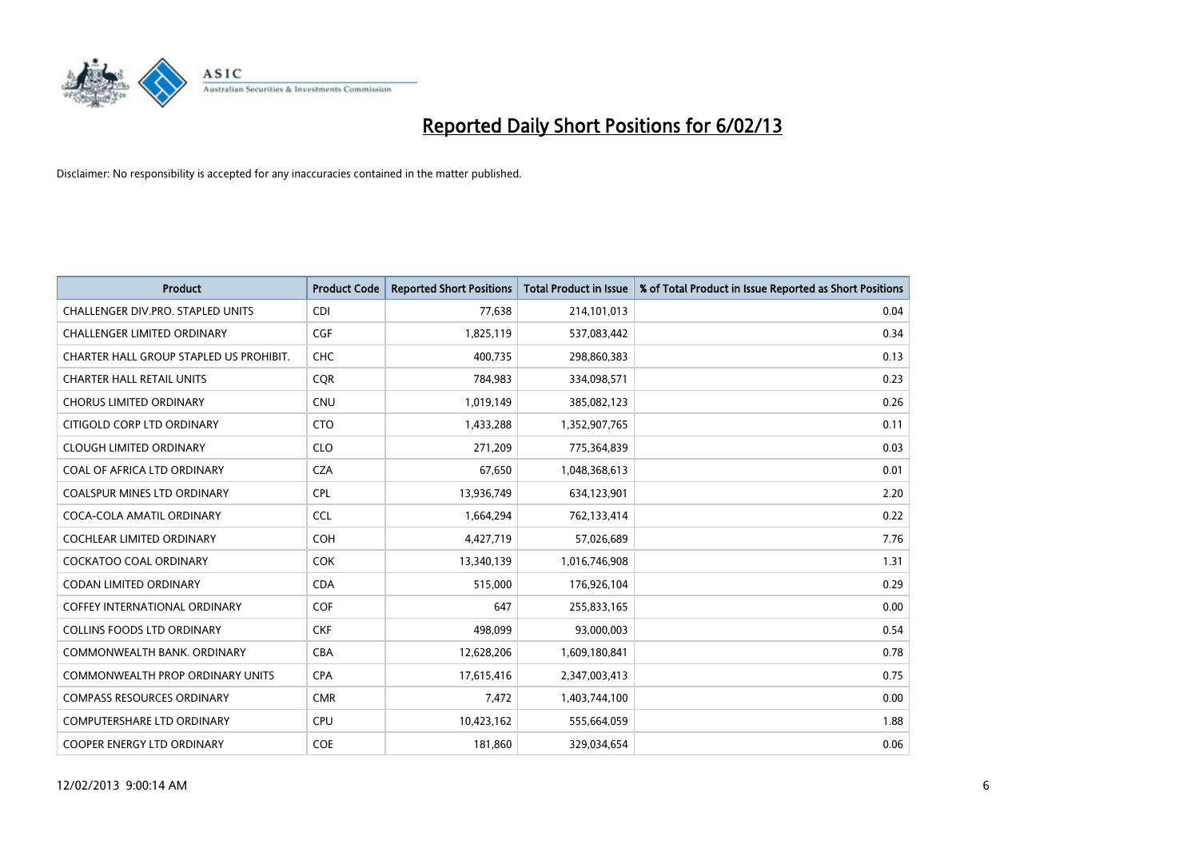

| <b>Product</b>                          | <b>Product Code</b> | <b>Reported Short Positions</b> | <b>Total Product in Issue</b> | % of Total Product in Issue Reported as Short Positions |
|-----------------------------------------|---------------------|---------------------------------|-------------------------------|---------------------------------------------------------|
| CHALLENGER DIV.PRO. STAPLED UNITS       | <b>CDI</b>          | 77,638                          | 214,101,013                   | 0.04                                                    |
| CHALLENGER LIMITED ORDINARY             | <b>CGF</b>          | 1,825,119                       | 537,083,442                   | 0.34                                                    |
| CHARTER HALL GROUP STAPLED US PROHIBIT. | <b>CHC</b>          | 400,735                         | 298,860,383                   | 0.13                                                    |
| <b>CHARTER HALL RETAIL UNITS</b>        | <b>CQR</b>          | 784,983                         | 334,098,571                   | 0.23                                                    |
| <b>CHORUS LIMITED ORDINARY</b>          | <b>CNU</b>          | 1,019,149                       | 385,082,123                   | 0.26                                                    |
| CITIGOLD CORP LTD ORDINARY              | <b>CTO</b>          | 1,433,288                       | 1,352,907,765                 | 0.11                                                    |
| <b>CLOUGH LIMITED ORDINARY</b>          | <b>CLO</b>          | 271,209                         | 775,364,839                   | 0.03                                                    |
| COAL OF AFRICA LTD ORDINARY             | <b>CZA</b>          | 67,650                          | 1,048,368,613                 | 0.01                                                    |
| COALSPUR MINES LTD ORDINARY             | <b>CPL</b>          | 13,936,749                      | 634,123,901                   | 2.20                                                    |
| COCA-COLA AMATIL ORDINARY               | <b>CCL</b>          | 1,664,294                       | 762,133,414                   | 0.22                                                    |
| <b>COCHLEAR LIMITED ORDINARY</b>        | <b>COH</b>          | 4,427,719                       | 57,026,689                    | 7.76                                                    |
| COCKATOO COAL ORDINARY                  | <b>COK</b>          | 13,340,139                      | 1,016,746,908                 | 1.31                                                    |
| <b>CODAN LIMITED ORDINARY</b>           | <b>CDA</b>          | 515,000                         | 176,926,104                   | 0.29                                                    |
| <b>COFFEY INTERNATIONAL ORDINARY</b>    | <b>COF</b>          | 647                             | 255,833,165                   | 0.00                                                    |
| <b>COLLINS FOODS LTD ORDINARY</b>       | <b>CKF</b>          | 498,099                         | 93,000,003                    | 0.54                                                    |
| COMMONWEALTH BANK, ORDINARY             | <b>CBA</b>          | 12,628,206                      | 1,609,180,841                 | 0.78                                                    |
| <b>COMMONWEALTH PROP ORDINARY UNITS</b> | <b>CPA</b>          | 17,615,416                      | 2,347,003,413                 | 0.75                                                    |
| <b>COMPASS RESOURCES ORDINARY</b>       | <b>CMR</b>          | 7,472                           | 1,403,744,100                 | 0.00                                                    |
| <b>COMPUTERSHARE LTD ORDINARY</b>       | CPU                 | 10,423,162                      | 555,664,059                   | 1.88                                                    |
| COOPER ENERGY LTD ORDINARY              | <b>COE</b>          | 181,860                         | 329,034,654                   | 0.06                                                    |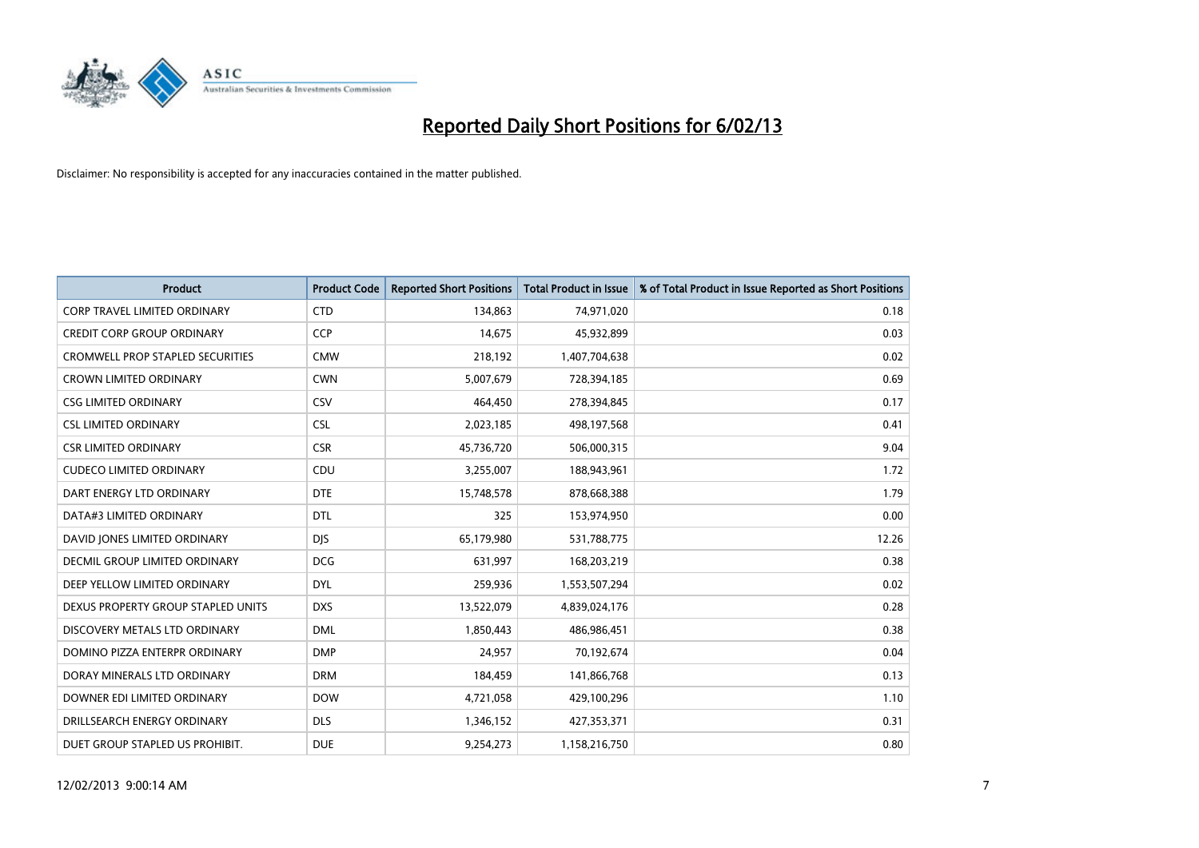

| <b>Product</b>                          | <b>Product Code</b> | <b>Reported Short Positions</b> | <b>Total Product in Issue</b> | % of Total Product in Issue Reported as Short Positions |
|-----------------------------------------|---------------------|---------------------------------|-------------------------------|---------------------------------------------------------|
| <b>CORP TRAVEL LIMITED ORDINARY</b>     | <b>CTD</b>          | 134,863                         | 74,971,020                    | 0.18                                                    |
| <b>CREDIT CORP GROUP ORDINARY</b>       | <b>CCP</b>          | 14,675                          | 45,932,899                    | 0.03                                                    |
| <b>CROMWELL PROP STAPLED SECURITIES</b> | <b>CMW</b>          | 218,192                         | 1,407,704,638                 | 0.02                                                    |
| <b>CROWN LIMITED ORDINARY</b>           | <b>CWN</b>          | 5,007,679                       | 728,394,185                   | 0.69                                                    |
| <b>CSG LIMITED ORDINARY</b>             | CSV                 | 464,450                         | 278,394,845                   | 0.17                                                    |
| <b>CSL LIMITED ORDINARY</b>             | <b>CSL</b>          | 2,023,185                       | 498,197,568                   | 0.41                                                    |
| <b>CSR LIMITED ORDINARY</b>             | <b>CSR</b>          | 45,736,720                      | 506,000,315                   | 9.04                                                    |
| <b>CUDECO LIMITED ORDINARY</b>          | CDU                 | 3,255,007                       | 188,943,961                   | 1.72                                                    |
| DART ENERGY LTD ORDINARY                | <b>DTE</b>          | 15,748,578                      | 878,668,388                   | 1.79                                                    |
| DATA#3 LIMITED ORDINARY                 | <b>DTL</b>          | 325                             | 153,974,950                   | 0.00                                                    |
| DAVID JONES LIMITED ORDINARY            | <b>DJS</b>          | 65,179,980                      | 531,788,775                   | 12.26                                                   |
| <b>DECMIL GROUP LIMITED ORDINARY</b>    | <b>DCG</b>          | 631,997                         | 168,203,219                   | 0.38                                                    |
| DEEP YELLOW LIMITED ORDINARY            | <b>DYL</b>          | 259,936                         | 1,553,507,294                 | 0.02                                                    |
| DEXUS PROPERTY GROUP STAPLED UNITS      | <b>DXS</b>          | 13,522,079                      | 4,839,024,176                 | 0.28                                                    |
| DISCOVERY METALS LTD ORDINARY           | <b>DML</b>          | 1,850,443                       | 486,986,451                   | 0.38                                                    |
| DOMINO PIZZA ENTERPR ORDINARY           | <b>DMP</b>          | 24,957                          | 70,192,674                    | 0.04                                                    |
| DORAY MINERALS LTD ORDINARY             | <b>DRM</b>          | 184,459                         | 141,866,768                   | 0.13                                                    |
| DOWNER EDI LIMITED ORDINARY             | <b>DOW</b>          | 4,721,058                       | 429,100,296                   | 1.10                                                    |
| DRILLSEARCH ENERGY ORDINARY             | <b>DLS</b>          | 1,346,152                       | 427,353,371                   | 0.31                                                    |
| DUET GROUP STAPLED US PROHIBIT.         | <b>DUE</b>          | 9,254,273                       | 1,158,216,750                 | 0.80                                                    |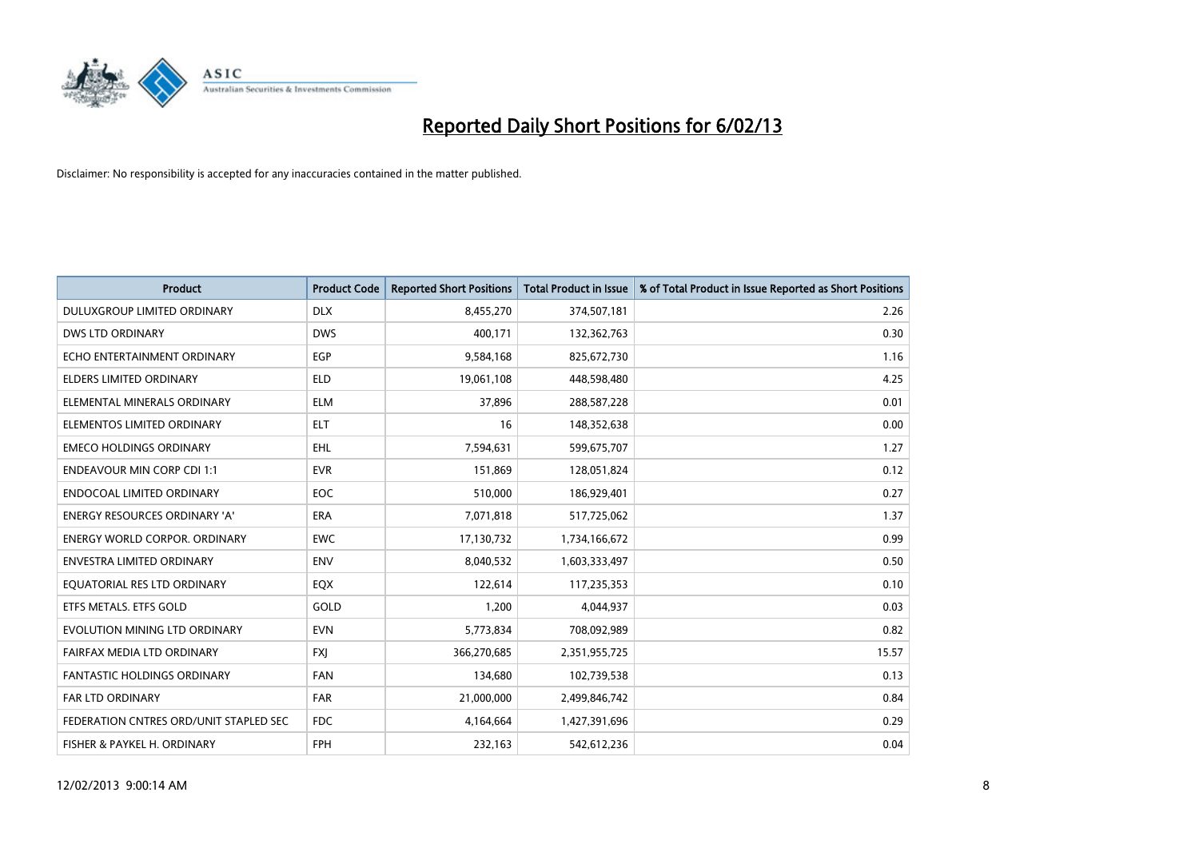

| <b>Product</b>                         | <b>Product Code</b> | <b>Reported Short Positions</b> | <b>Total Product in Issue</b> | % of Total Product in Issue Reported as Short Positions |
|----------------------------------------|---------------------|---------------------------------|-------------------------------|---------------------------------------------------------|
| DULUXGROUP LIMITED ORDINARY            | <b>DLX</b>          | 8,455,270                       | 374,507,181                   | 2.26                                                    |
| DWS LTD ORDINARY                       | <b>DWS</b>          | 400.171                         | 132,362,763                   | 0.30                                                    |
| ECHO ENTERTAINMENT ORDINARY            | <b>EGP</b>          | 9,584,168                       | 825,672,730                   | 1.16                                                    |
| ELDERS LIMITED ORDINARY                | <b>ELD</b>          | 19,061,108                      | 448,598,480                   | 4.25                                                    |
| ELEMENTAL MINERALS ORDINARY            | <b>ELM</b>          | 37,896                          | 288,587,228                   | 0.01                                                    |
| ELEMENTOS LIMITED ORDINARY             | <b>ELT</b>          | 16                              | 148,352,638                   | 0.00                                                    |
| <b>EMECO HOLDINGS ORDINARY</b>         | <b>EHL</b>          | 7,594,631                       | 599,675,707                   | 1.27                                                    |
| <b>ENDEAVOUR MIN CORP CDI 1:1</b>      | <b>EVR</b>          | 151,869                         | 128,051,824                   | 0.12                                                    |
| <b>ENDOCOAL LIMITED ORDINARY</b>       | EOC                 | 510,000                         | 186,929,401                   | 0.27                                                    |
| <b>ENERGY RESOURCES ORDINARY 'A'</b>   | <b>ERA</b>          | 7,071,818                       | 517,725,062                   | 1.37                                                    |
| ENERGY WORLD CORPOR. ORDINARY          | <b>EWC</b>          | 17,130,732                      | 1,734,166,672                 | 0.99                                                    |
| <b>ENVESTRA LIMITED ORDINARY</b>       | <b>ENV</b>          | 8,040,532                       | 1,603,333,497                 | 0.50                                                    |
| EQUATORIAL RES LTD ORDINARY            | EQX                 | 122,614                         | 117,235,353                   | 0.10                                                    |
| ETFS METALS. ETFS GOLD                 | GOLD                | 1,200                           | 4,044,937                     | 0.03                                                    |
| EVOLUTION MINING LTD ORDINARY          | <b>EVN</b>          | 5,773,834                       | 708,092,989                   | 0.82                                                    |
| FAIRFAX MEDIA LTD ORDINARY             | <b>FXI</b>          | 366,270,685                     | 2,351,955,725                 | 15.57                                                   |
| <b>FANTASTIC HOLDINGS ORDINARY</b>     | <b>FAN</b>          | 134,680                         | 102,739,538                   | 0.13                                                    |
| <b>FAR LTD ORDINARY</b>                | <b>FAR</b>          | 21,000,000                      | 2,499,846,742                 | 0.84                                                    |
| FEDERATION CNTRES ORD/UNIT STAPLED SEC | <b>FDC</b>          | 4,164,664                       | 1,427,391,696                 | 0.29                                                    |
| FISHER & PAYKEL H. ORDINARY            | <b>FPH</b>          | 232,163                         | 542,612,236                   | 0.04                                                    |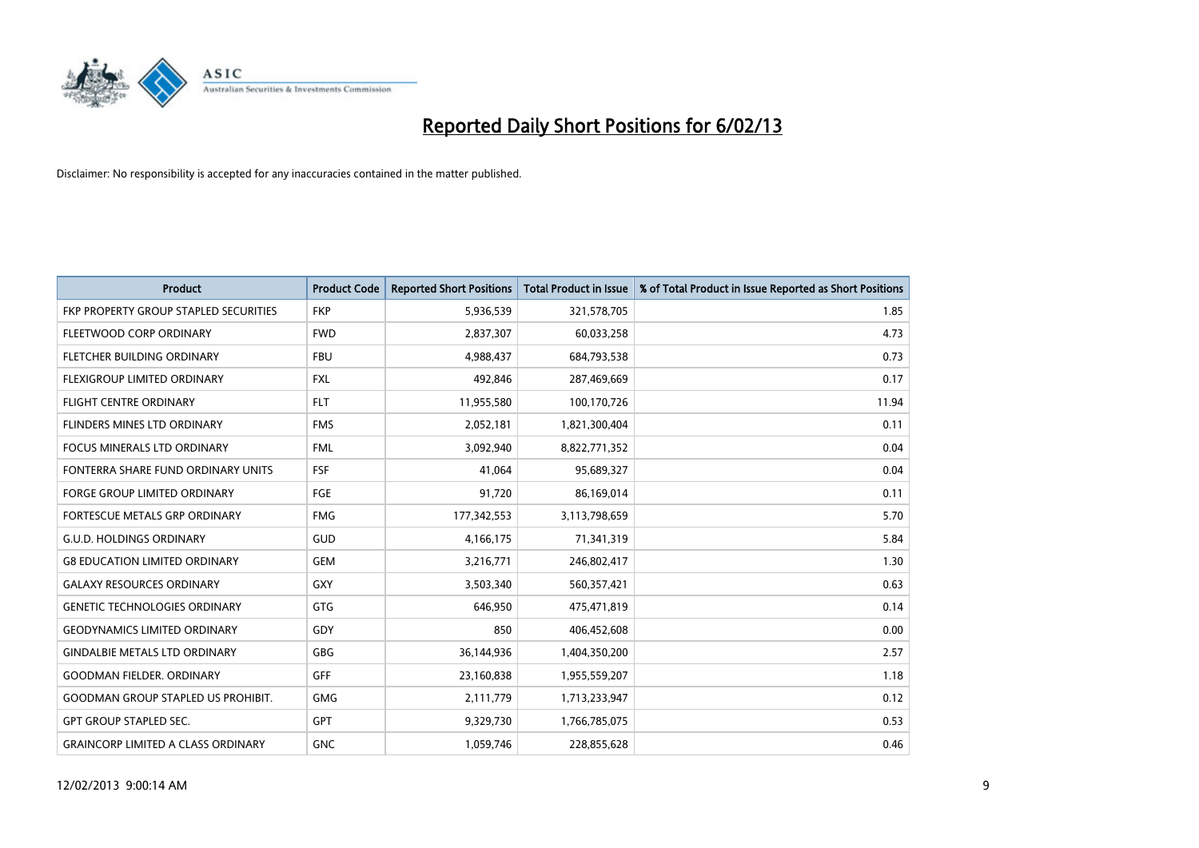

| <b>Product</b>                            | <b>Product Code</b> | <b>Reported Short Positions</b> | <b>Total Product in Issue</b> | % of Total Product in Issue Reported as Short Positions |
|-------------------------------------------|---------------------|---------------------------------|-------------------------------|---------------------------------------------------------|
| FKP PROPERTY GROUP STAPLED SECURITIES     | <b>FKP</b>          | 5,936,539                       | 321,578,705                   | 1.85                                                    |
| FLEETWOOD CORP ORDINARY                   | <b>FWD</b>          | 2,837,307                       | 60,033,258                    | 4.73                                                    |
| <b>FLETCHER BUILDING ORDINARY</b>         | <b>FBU</b>          | 4,988,437                       | 684,793,538                   | 0.73                                                    |
| FLEXIGROUP LIMITED ORDINARY               | <b>FXL</b>          | 492,846                         | 287,469,669                   | 0.17                                                    |
| <b>FLIGHT CENTRE ORDINARY</b>             | <b>FLT</b>          | 11,955,580                      | 100,170,726                   | 11.94                                                   |
| <b>FLINDERS MINES LTD ORDINARY</b>        | <b>FMS</b>          | 2,052,181                       | 1,821,300,404                 | 0.11                                                    |
| <b>FOCUS MINERALS LTD ORDINARY</b>        | <b>FML</b>          | 3,092,940                       | 8,822,771,352                 | 0.04                                                    |
| FONTERRA SHARE FUND ORDINARY UNITS        | <b>FSF</b>          | 41,064                          | 95,689,327                    | 0.04                                                    |
| FORGE GROUP LIMITED ORDINARY              | FGE                 | 91,720                          | 86,169,014                    | 0.11                                                    |
| FORTESCUE METALS GRP ORDINARY             | <b>FMG</b>          | 177,342,553                     | 3,113,798,659                 | 5.70                                                    |
| <b>G.U.D. HOLDINGS ORDINARY</b>           | GUD                 | 4,166,175                       | 71,341,319                    | 5.84                                                    |
| <b>G8 EDUCATION LIMITED ORDINARY</b>      | <b>GEM</b>          | 3,216,771                       | 246,802,417                   | 1.30                                                    |
| <b>GALAXY RESOURCES ORDINARY</b>          | GXY                 | 3,503,340                       | 560,357,421                   | 0.63                                                    |
| <b>GENETIC TECHNOLOGIES ORDINARY</b>      | <b>GTG</b>          | 646,950                         | 475,471,819                   | 0.14                                                    |
| <b>GEODYNAMICS LIMITED ORDINARY</b>       | GDY                 | 850                             | 406,452,608                   | 0.00                                                    |
| <b>GINDALBIE METALS LTD ORDINARY</b>      | <b>GBG</b>          | 36,144,936                      | 1,404,350,200                 | 2.57                                                    |
| <b>GOODMAN FIELDER, ORDINARY</b>          | <b>GFF</b>          | 23,160,838                      | 1,955,559,207                 | 1.18                                                    |
| <b>GOODMAN GROUP STAPLED US PROHIBIT.</b> | <b>GMG</b>          | 2,111,779                       | 1,713,233,947                 | 0.12                                                    |
| <b>GPT GROUP STAPLED SEC.</b>             | <b>GPT</b>          | 9,329,730                       | 1,766,785,075                 | 0.53                                                    |
| <b>GRAINCORP LIMITED A CLASS ORDINARY</b> | <b>GNC</b>          | 1.059.746                       | 228,855,628                   | 0.46                                                    |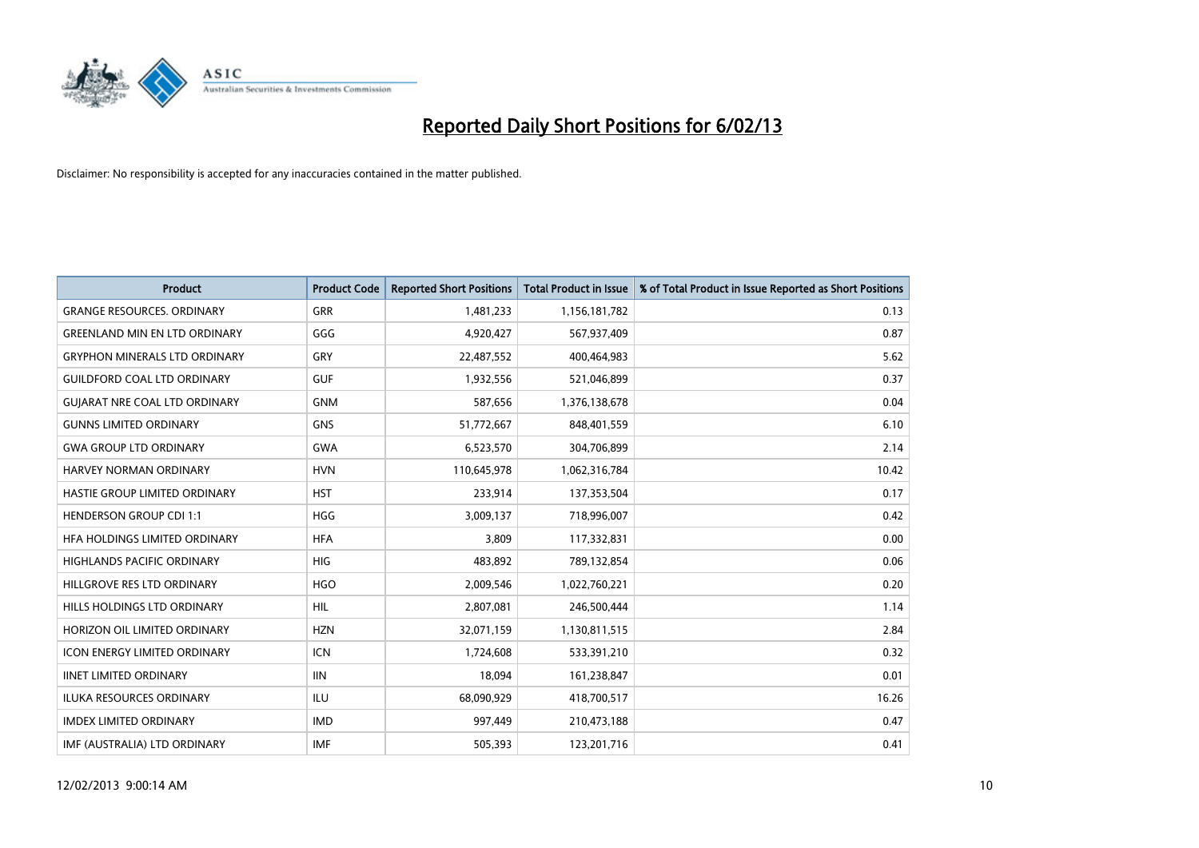

| <b>Product</b>                       | <b>Product Code</b> | <b>Reported Short Positions</b> | <b>Total Product in Issue</b> | % of Total Product in Issue Reported as Short Positions |
|--------------------------------------|---------------------|---------------------------------|-------------------------------|---------------------------------------------------------|
| <b>GRANGE RESOURCES, ORDINARY</b>    | <b>GRR</b>          | 1,481,233                       | 1,156,181,782                 | 0.13                                                    |
| <b>GREENLAND MIN EN LTD ORDINARY</b> | GGG                 | 4,920,427                       | 567,937,409                   | 0.87                                                    |
| <b>GRYPHON MINERALS LTD ORDINARY</b> | GRY                 | 22,487,552                      | 400,464,983                   | 5.62                                                    |
| <b>GUILDFORD COAL LTD ORDINARY</b>   | <b>GUF</b>          | 1,932,556                       | 521,046,899                   | 0.37                                                    |
| <b>GUIARAT NRE COAL LTD ORDINARY</b> | <b>GNM</b>          | 587,656                         | 1,376,138,678                 | 0.04                                                    |
| <b>GUNNS LIMITED ORDINARY</b>        | <b>GNS</b>          | 51,772,667                      | 848,401,559                   | 6.10                                                    |
| <b>GWA GROUP LTD ORDINARY</b>        | <b>GWA</b>          | 6,523,570                       | 304,706,899                   | 2.14                                                    |
| HARVEY NORMAN ORDINARY               | <b>HVN</b>          | 110,645,978                     | 1,062,316,784                 | 10.42                                                   |
| HASTIE GROUP LIMITED ORDINARY        | <b>HST</b>          | 233,914                         | 137,353,504                   | 0.17                                                    |
| <b>HENDERSON GROUP CDI 1:1</b>       | <b>HGG</b>          | 3,009,137                       | 718,996,007                   | 0.42                                                    |
| HFA HOLDINGS LIMITED ORDINARY        | <b>HFA</b>          | 3,809                           | 117,332,831                   | 0.00                                                    |
| <b>HIGHLANDS PACIFIC ORDINARY</b>    | <b>HIG</b>          | 483,892                         | 789,132,854                   | 0.06                                                    |
| HILLGROVE RES LTD ORDINARY           | <b>HGO</b>          | 2,009,546                       | 1,022,760,221                 | 0.20                                                    |
| <b>HILLS HOLDINGS LTD ORDINARY</b>   | <b>HIL</b>          | 2,807,081                       | 246,500,444                   | 1.14                                                    |
| HORIZON OIL LIMITED ORDINARY         | <b>HZN</b>          | 32,071,159                      | 1,130,811,515                 | 2.84                                                    |
| ICON ENERGY LIMITED ORDINARY         | <b>ICN</b>          | 1,724,608                       | 533,391,210                   | 0.32                                                    |
| <b>IINET LIMITED ORDINARY</b>        | <b>IIN</b>          | 18,094                          | 161,238,847                   | 0.01                                                    |
| ILUKA RESOURCES ORDINARY             | ILU                 | 68,090,929                      | 418,700,517                   | 16.26                                                   |
| <b>IMDEX LIMITED ORDINARY</b>        | <b>IMD</b>          | 997,449                         | 210,473,188                   | 0.47                                                    |
| IMF (AUSTRALIA) LTD ORDINARY         | <b>IMF</b>          | 505.393                         | 123,201,716                   | 0.41                                                    |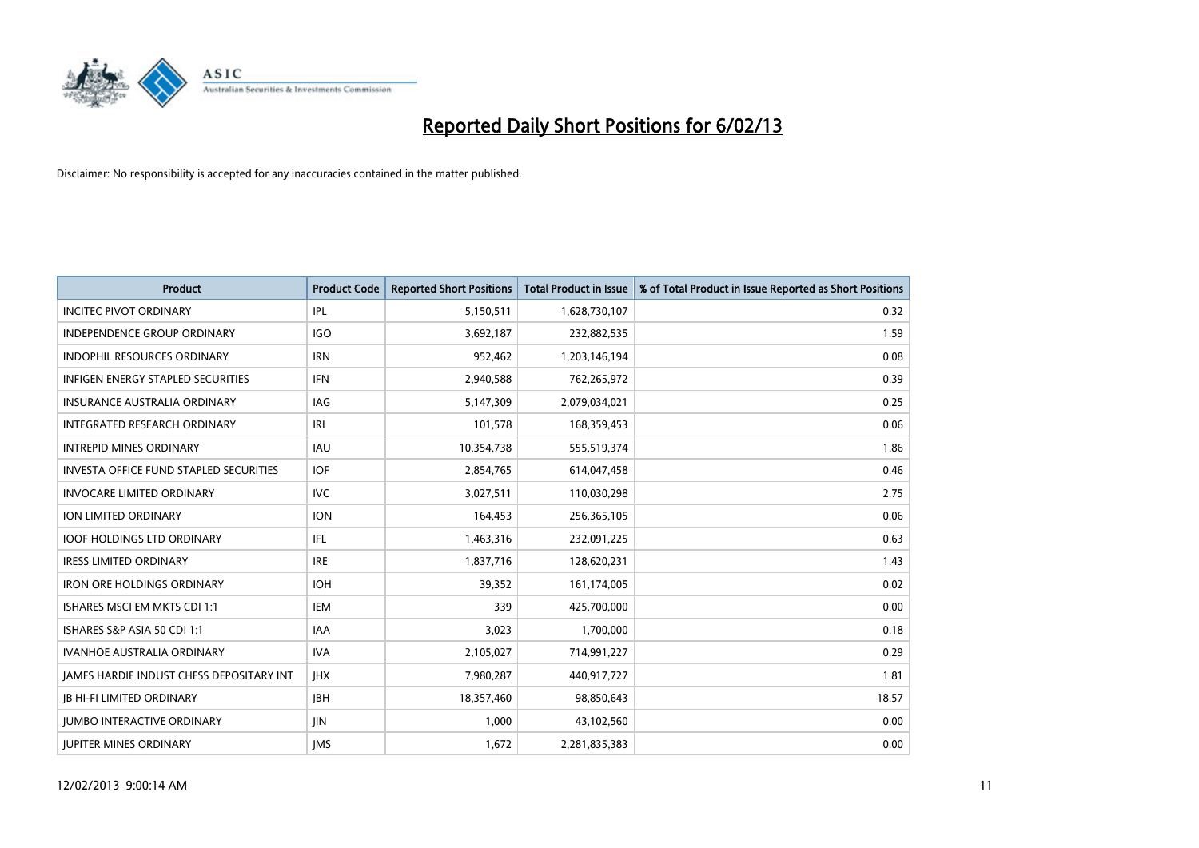

| <b>Product</b>                                  | <b>Product Code</b> | <b>Reported Short Positions</b> | <b>Total Product in Issue</b> | % of Total Product in Issue Reported as Short Positions |
|-------------------------------------------------|---------------------|---------------------------------|-------------------------------|---------------------------------------------------------|
| <b>INCITEC PIVOT ORDINARY</b>                   | IPL                 | 5,150,511                       | 1,628,730,107                 | 0.32                                                    |
| INDEPENDENCE GROUP ORDINARY                     | <b>IGO</b>          | 3,692,187                       | 232,882,535                   | 1.59                                                    |
| <b>INDOPHIL RESOURCES ORDINARY</b>              | <b>IRN</b>          | 952,462                         | 1,203,146,194                 | 0.08                                                    |
| INFIGEN ENERGY STAPLED SECURITIES               | <b>IFN</b>          | 2,940,588                       | 762,265,972                   | 0.39                                                    |
| <b>INSURANCE AUSTRALIA ORDINARY</b>             | IAG                 | 5,147,309                       | 2,079,034,021                 | 0.25                                                    |
| <b>INTEGRATED RESEARCH ORDINARY</b>             | IRI                 | 101,578                         | 168,359,453                   | 0.06                                                    |
| <b>INTREPID MINES ORDINARY</b>                  | <b>IAU</b>          | 10,354,738                      | 555,519,374                   | 1.86                                                    |
| <b>INVESTA OFFICE FUND STAPLED SECURITIES</b>   | <b>IOF</b>          | 2,854,765                       | 614,047,458                   | 0.46                                                    |
| <b>INVOCARE LIMITED ORDINARY</b>                | <b>IVC</b>          | 3,027,511                       | 110,030,298                   | 2.75                                                    |
| <b>ION LIMITED ORDINARY</b>                     | <b>ION</b>          | 164,453                         | 256,365,105                   | 0.06                                                    |
| <b>IOOF HOLDINGS LTD ORDINARY</b>               | IFL                 | 1,463,316                       | 232,091,225                   | 0.63                                                    |
| <b>IRESS LIMITED ORDINARY</b>                   | <b>IRE</b>          | 1,837,716                       | 128,620,231                   | 1.43                                                    |
| <b>IRON ORE HOLDINGS ORDINARY</b>               | <b>IOH</b>          | 39,352                          | 161,174,005                   | 0.02                                                    |
| ISHARES MSCI EM MKTS CDI 1:1                    | <b>IEM</b>          | 339                             | 425,700,000                   | 0.00                                                    |
| ISHARES S&P ASIA 50 CDI 1:1                     | <b>IAA</b>          | 3,023                           | 1,700,000                     | 0.18                                                    |
| IVANHOE AUSTRALIA ORDINARY                      | <b>IVA</b>          | 2,105,027                       | 714,991,227                   | 0.29                                                    |
| <b>JAMES HARDIE INDUST CHESS DEPOSITARY INT</b> | <b>IHX</b>          | 7,980,287                       | 440,917,727                   | 1.81                                                    |
| <b>JB HI-FI LIMITED ORDINARY</b>                | <b>IBH</b>          | 18,357,460                      | 98,850,643                    | 18.57                                                   |
| <b>IUMBO INTERACTIVE ORDINARY</b>               | <b>IIN</b>          | 1,000                           | 43,102,560                    | 0.00                                                    |
| <b>IUPITER MINES ORDINARY</b>                   | <b>IMS</b>          | 1,672                           | 2,281,835,383                 | 0.00                                                    |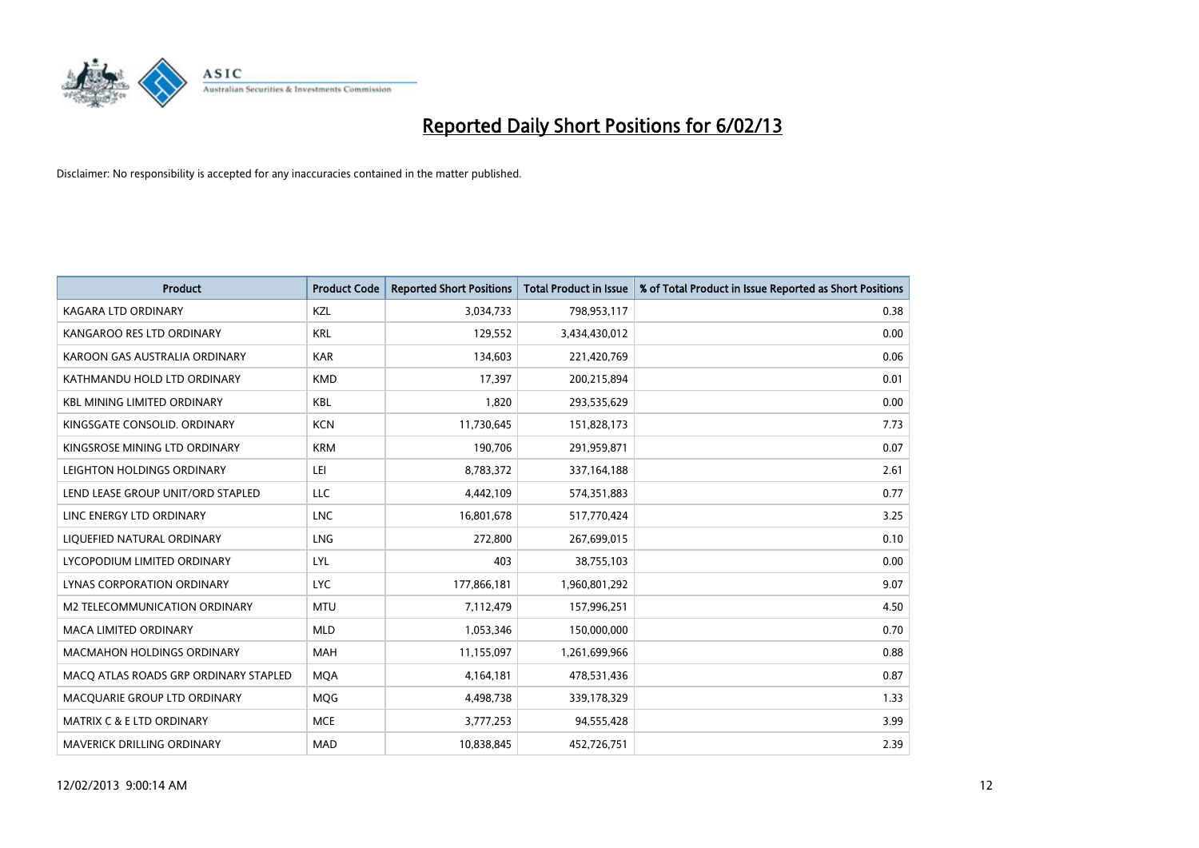

| <b>Product</b>                        | <b>Product Code</b> | <b>Reported Short Positions</b> | <b>Total Product in Issue</b> | % of Total Product in Issue Reported as Short Positions |
|---------------------------------------|---------------------|---------------------------------|-------------------------------|---------------------------------------------------------|
| <b>KAGARA LTD ORDINARY</b>            | <b>KZL</b>          | 3,034,733                       | 798,953,117                   | 0.38                                                    |
| KANGAROO RES LTD ORDINARY             | <b>KRL</b>          | 129,552                         | 3,434,430,012                 | 0.00                                                    |
| KAROON GAS AUSTRALIA ORDINARY         | <b>KAR</b>          | 134,603                         | 221,420,769                   | 0.06                                                    |
| KATHMANDU HOLD LTD ORDINARY           | <b>KMD</b>          | 17,397                          | 200,215,894                   | 0.01                                                    |
| <b>KBL MINING LIMITED ORDINARY</b>    | <b>KBL</b>          | 1,820                           | 293,535,629                   | 0.00                                                    |
| KINGSGATE CONSOLID. ORDINARY          | <b>KCN</b>          | 11,730,645                      | 151,828,173                   | 7.73                                                    |
| KINGSROSE MINING LTD ORDINARY         | <b>KRM</b>          | 190,706                         | 291,959,871                   | 0.07                                                    |
| LEIGHTON HOLDINGS ORDINARY            | LEI                 | 8,783,372                       | 337, 164, 188                 | 2.61                                                    |
| LEND LEASE GROUP UNIT/ORD STAPLED     | LLC                 | 4,442,109                       | 574,351,883                   | 0.77                                                    |
| LINC ENERGY LTD ORDINARY              | <b>LNC</b>          | 16,801,678                      | 517,770,424                   | 3.25                                                    |
| LIQUEFIED NATURAL ORDINARY            | <b>LNG</b>          | 272,800                         | 267,699,015                   | 0.10                                                    |
| LYCOPODIUM LIMITED ORDINARY           | LYL                 | 403                             | 38,755,103                    | 0.00                                                    |
| LYNAS CORPORATION ORDINARY            | <b>LYC</b>          | 177,866,181                     | 1,960,801,292                 | 9.07                                                    |
| <b>M2 TELECOMMUNICATION ORDINARY</b>  | <b>MTU</b>          | 7,112,479                       | 157,996,251                   | 4.50                                                    |
| <b>MACA LIMITED ORDINARY</b>          | <b>MLD</b>          | 1,053,346                       | 150,000,000                   | 0.70                                                    |
| <b>MACMAHON HOLDINGS ORDINARY</b>     | <b>MAH</b>          | 11,155,097                      | 1,261,699,966                 | 0.88                                                    |
| MACO ATLAS ROADS GRP ORDINARY STAPLED | <b>MQA</b>          | 4,164,181                       | 478,531,436                   | 0.87                                                    |
| MACQUARIE GROUP LTD ORDINARY          | <b>MOG</b>          | 4,498,738                       | 339,178,329                   | 1.33                                                    |
| <b>MATRIX C &amp; E LTD ORDINARY</b>  | <b>MCE</b>          | 3,777,253                       | 94,555,428                    | 3.99                                                    |
| <b>MAVERICK DRILLING ORDINARY</b>     | <b>MAD</b>          | 10,838,845                      | 452,726,751                   | 2.39                                                    |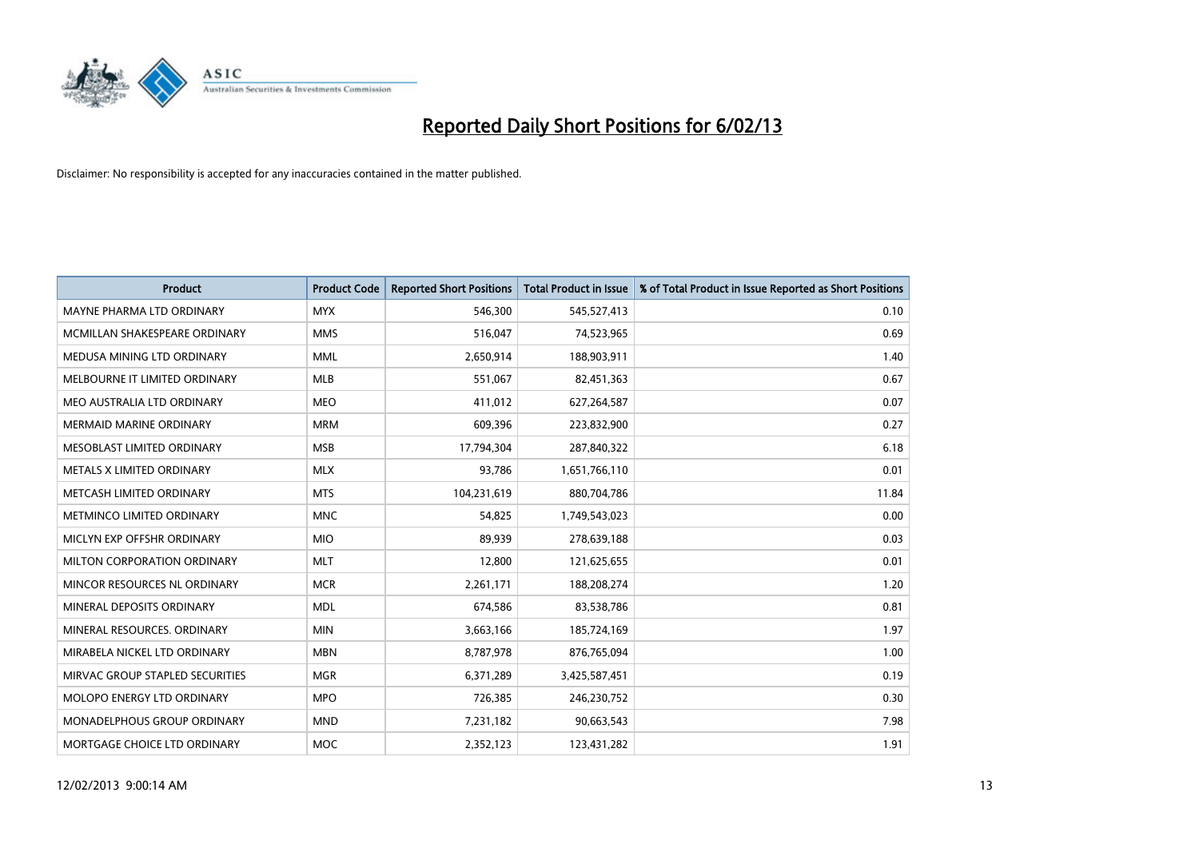

| <b>Product</b>                     | <b>Product Code</b> | <b>Reported Short Positions</b> | <b>Total Product in Issue</b> | % of Total Product in Issue Reported as Short Positions |
|------------------------------------|---------------------|---------------------------------|-------------------------------|---------------------------------------------------------|
| <b>MAYNE PHARMA LTD ORDINARY</b>   | <b>MYX</b>          | 546,300                         | 545,527,413                   | 0.10                                                    |
| MCMILLAN SHAKESPEARE ORDINARY      | <b>MMS</b>          | 516,047                         | 74,523,965                    | 0.69                                                    |
| MEDUSA MINING LTD ORDINARY         | <b>MML</b>          | 2,650,914                       | 188,903,911                   | 1.40                                                    |
| MELBOURNE IT LIMITED ORDINARY      | <b>MLB</b>          | 551,067                         | 82,451,363                    | 0.67                                                    |
| MEO AUSTRALIA LTD ORDINARY         | <b>MEO</b>          | 411,012                         | 627,264,587                   | 0.07                                                    |
| <b>MERMAID MARINE ORDINARY</b>     | <b>MRM</b>          | 609,396                         | 223,832,900                   | 0.27                                                    |
| MESOBLAST LIMITED ORDINARY         | <b>MSB</b>          | 17,794,304                      | 287,840,322                   | 6.18                                                    |
| METALS X LIMITED ORDINARY          | <b>MLX</b>          | 93,786                          | 1,651,766,110                 | 0.01                                                    |
| METCASH LIMITED ORDINARY           | <b>MTS</b>          | 104,231,619                     | 880,704,786                   | 11.84                                                   |
| METMINCO LIMITED ORDINARY          | <b>MNC</b>          | 54,825                          | 1,749,543,023                 | 0.00                                                    |
| MICLYN EXP OFFSHR ORDINARY         | <b>MIO</b>          | 89,939                          | 278,639,188                   | 0.03                                                    |
| MILTON CORPORATION ORDINARY        | <b>MLT</b>          | 12,800                          | 121,625,655                   | 0.01                                                    |
| MINCOR RESOURCES NL ORDINARY       | <b>MCR</b>          | 2,261,171                       | 188,208,274                   | 1.20                                                    |
| MINERAL DEPOSITS ORDINARY          | <b>MDL</b>          | 674,586                         | 83,538,786                    | 0.81                                                    |
| MINERAL RESOURCES, ORDINARY        | <b>MIN</b>          | 3,663,166                       | 185,724,169                   | 1.97                                                    |
| MIRABELA NICKEL LTD ORDINARY       | <b>MBN</b>          | 8,787,978                       | 876,765,094                   | 1.00                                                    |
| MIRVAC GROUP STAPLED SECURITIES    | <b>MGR</b>          | 6,371,289                       | 3,425,587,451                 | 0.19                                                    |
| MOLOPO ENERGY LTD ORDINARY         | <b>MPO</b>          | 726,385                         | 246,230,752                   | 0.30                                                    |
| <b>MONADELPHOUS GROUP ORDINARY</b> | <b>MND</b>          | 7,231,182                       | 90,663,543                    | 7.98                                                    |
| MORTGAGE CHOICE LTD ORDINARY       | <b>MOC</b>          | 2,352,123                       | 123,431,282                   | 1.91                                                    |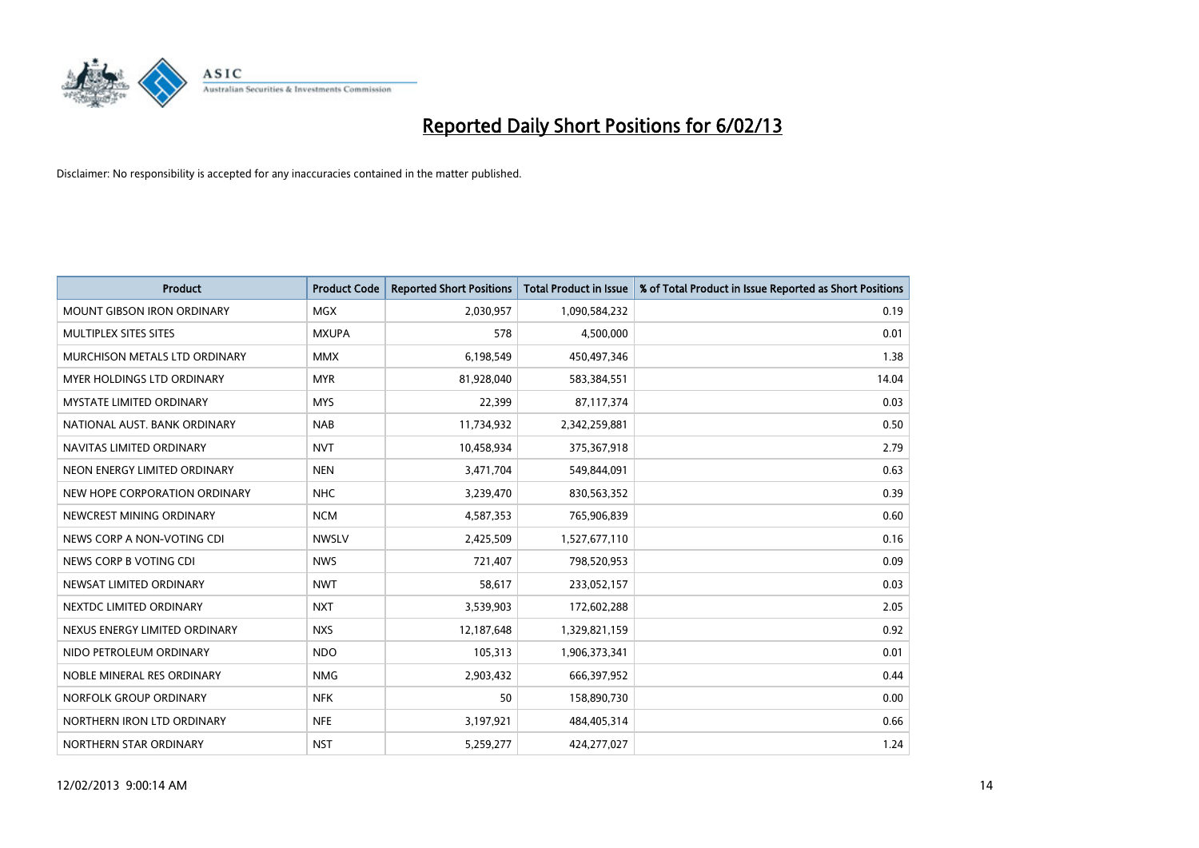

| <b>Product</b>                    | <b>Product Code</b> | <b>Reported Short Positions</b> | <b>Total Product in Issue</b> | % of Total Product in Issue Reported as Short Positions |
|-----------------------------------|---------------------|---------------------------------|-------------------------------|---------------------------------------------------------|
| <b>MOUNT GIBSON IRON ORDINARY</b> | <b>MGX</b>          | 2,030,957                       | 1,090,584,232                 | 0.19                                                    |
| MULTIPLEX SITES SITES             | <b>MXUPA</b>        | 578                             | 4,500,000                     | 0.01                                                    |
| MURCHISON METALS LTD ORDINARY     | <b>MMX</b>          | 6,198,549                       | 450,497,346                   | 1.38                                                    |
| <b>MYER HOLDINGS LTD ORDINARY</b> | <b>MYR</b>          | 81,928,040                      | 583,384,551                   | 14.04                                                   |
| <b>MYSTATE LIMITED ORDINARY</b>   | <b>MYS</b>          | 22,399                          | 87,117,374                    | 0.03                                                    |
| NATIONAL AUST, BANK ORDINARY      | <b>NAB</b>          | 11,734,932                      | 2,342,259,881                 | 0.50                                                    |
| NAVITAS LIMITED ORDINARY          | <b>NVT</b>          | 10,458,934                      | 375,367,918                   | 2.79                                                    |
| NEON ENERGY LIMITED ORDINARY      | <b>NEN</b>          | 3,471,704                       | 549,844,091                   | 0.63                                                    |
| NEW HOPE CORPORATION ORDINARY     | <b>NHC</b>          | 3,239,470                       | 830,563,352                   | 0.39                                                    |
| NEWCREST MINING ORDINARY          | <b>NCM</b>          | 4,587,353                       | 765,906,839                   | 0.60                                                    |
| NEWS CORP A NON-VOTING CDI        | <b>NWSLV</b>        | 2,425,509                       | 1,527,677,110                 | 0.16                                                    |
| NEWS CORP B VOTING CDI            | <b>NWS</b>          | 721,407                         | 798,520,953                   | 0.09                                                    |
| NEWSAT LIMITED ORDINARY           | <b>NWT</b>          | 58,617                          | 233,052,157                   | 0.03                                                    |
| NEXTDC LIMITED ORDINARY           | <b>NXT</b>          | 3,539,903                       | 172,602,288                   | 2.05                                                    |
| NEXUS ENERGY LIMITED ORDINARY     | <b>NXS</b>          | 12,187,648                      | 1,329,821,159                 | 0.92                                                    |
| NIDO PETROLEUM ORDINARY           | <b>NDO</b>          | 105,313                         | 1,906,373,341                 | 0.01                                                    |
| NOBLE MINERAL RES ORDINARY        | <b>NMG</b>          | 2,903,432                       | 666,397,952                   | 0.44                                                    |
| NORFOLK GROUP ORDINARY            | <b>NFK</b>          | 50                              | 158,890,730                   | 0.00                                                    |
| NORTHERN IRON LTD ORDINARY        | <b>NFE</b>          | 3,197,921                       | 484,405,314                   | 0.66                                                    |
| NORTHERN STAR ORDINARY            | <b>NST</b>          | 5,259,277                       | 424,277,027                   | 1.24                                                    |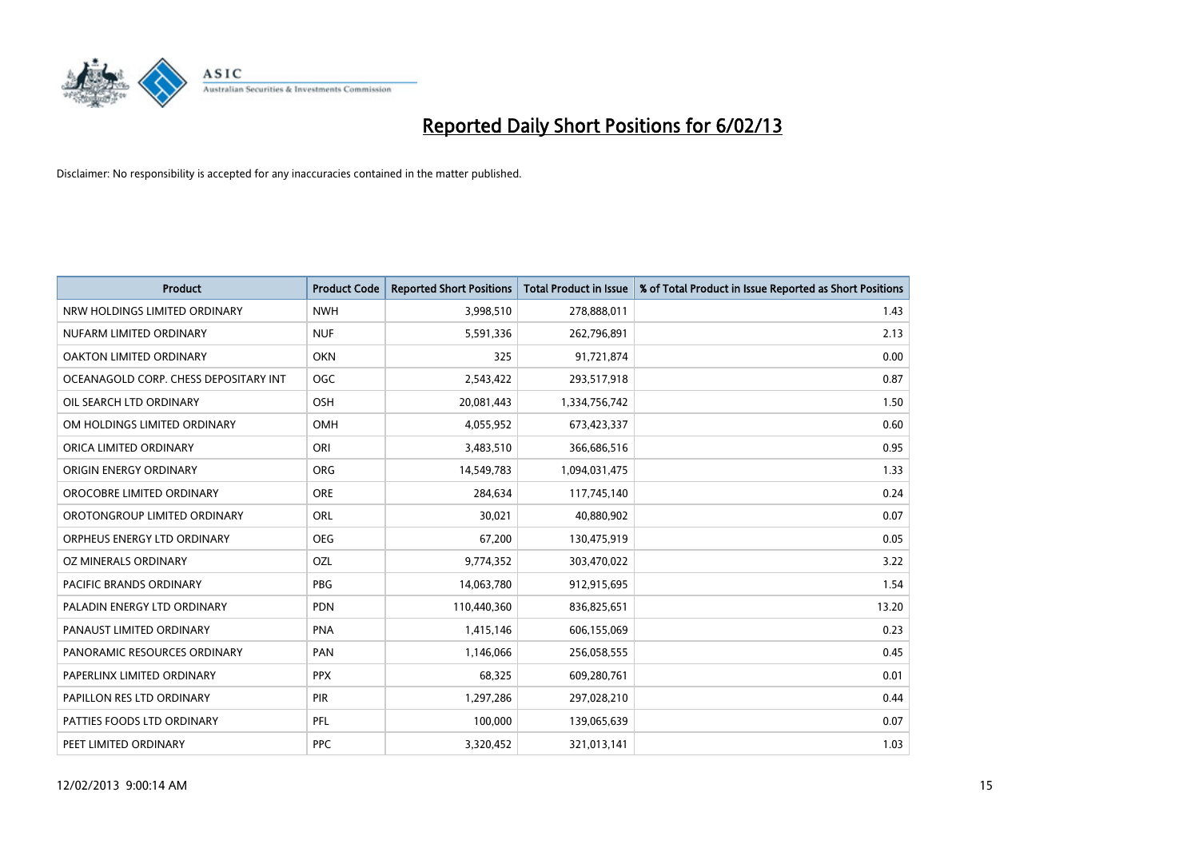

| <b>Product</b>                        | <b>Product Code</b> | <b>Reported Short Positions</b> | <b>Total Product in Issue</b> | % of Total Product in Issue Reported as Short Positions |
|---------------------------------------|---------------------|---------------------------------|-------------------------------|---------------------------------------------------------|
| NRW HOLDINGS LIMITED ORDINARY         | <b>NWH</b>          | 3,998,510                       | 278,888,011                   | 1.43                                                    |
| NUFARM LIMITED ORDINARY               | <b>NUF</b>          | 5,591,336                       | 262,796,891                   | 2.13                                                    |
| OAKTON LIMITED ORDINARY               | <b>OKN</b>          | 325                             | 91,721,874                    | 0.00                                                    |
| OCEANAGOLD CORP. CHESS DEPOSITARY INT | <b>OGC</b>          | 2,543,422                       | 293,517,918                   | 0.87                                                    |
| OIL SEARCH LTD ORDINARY               | <b>OSH</b>          | 20,081,443                      | 1,334,756,742                 | 1.50                                                    |
| OM HOLDINGS LIMITED ORDINARY          | OMH                 | 4,055,952                       | 673,423,337                   | 0.60                                                    |
| ORICA LIMITED ORDINARY                | ORI                 | 3,483,510                       | 366,686,516                   | 0.95                                                    |
| ORIGIN ENERGY ORDINARY                | <b>ORG</b>          | 14,549,783                      | 1,094,031,475                 | 1.33                                                    |
| OROCOBRE LIMITED ORDINARY             | <b>ORE</b>          | 284,634                         | 117,745,140                   | 0.24                                                    |
| OROTONGROUP LIMITED ORDINARY          | ORL                 | 30,021                          | 40,880,902                    | 0.07                                                    |
| ORPHEUS ENERGY LTD ORDINARY           | <b>OEG</b>          | 67,200                          | 130,475,919                   | 0.05                                                    |
| OZ MINERALS ORDINARY                  | OZL                 | 9,774,352                       | 303,470,022                   | 3.22                                                    |
| PACIFIC BRANDS ORDINARY               | <b>PBG</b>          | 14,063,780                      | 912,915,695                   | 1.54                                                    |
| PALADIN ENERGY LTD ORDINARY           | <b>PDN</b>          | 110,440,360                     | 836,825,651                   | 13.20                                                   |
| PANAUST LIMITED ORDINARY              | <b>PNA</b>          | 1,415,146                       | 606,155,069                   | 0.23                                                    |
| PANORAMIC RESOURCES ORDINARY          | PAN                 | 1,146,066                       | 256,058,555                   | 0.45                                                    |
| PAPERLINX LIMITED ORDINARY            | <b>PPX</b>          | 68,325                          | 609,280,761                   | 0.01                                                    |
| PAPILLON RES LTD ORDINARY             | PIR                 | 1,297,286                       | 297,028,210                   | 0.44                                                    |
| PATTIES FOODS LTD ORDINARY            | PFL                 | 100,000                         | 139,065,639                   | 0.07                                                    |
| PEET LIMITED ORDINARY                 | <b>PPC</b>          | 3,320,452                       | 321,013,141                   | 1.03                                                    |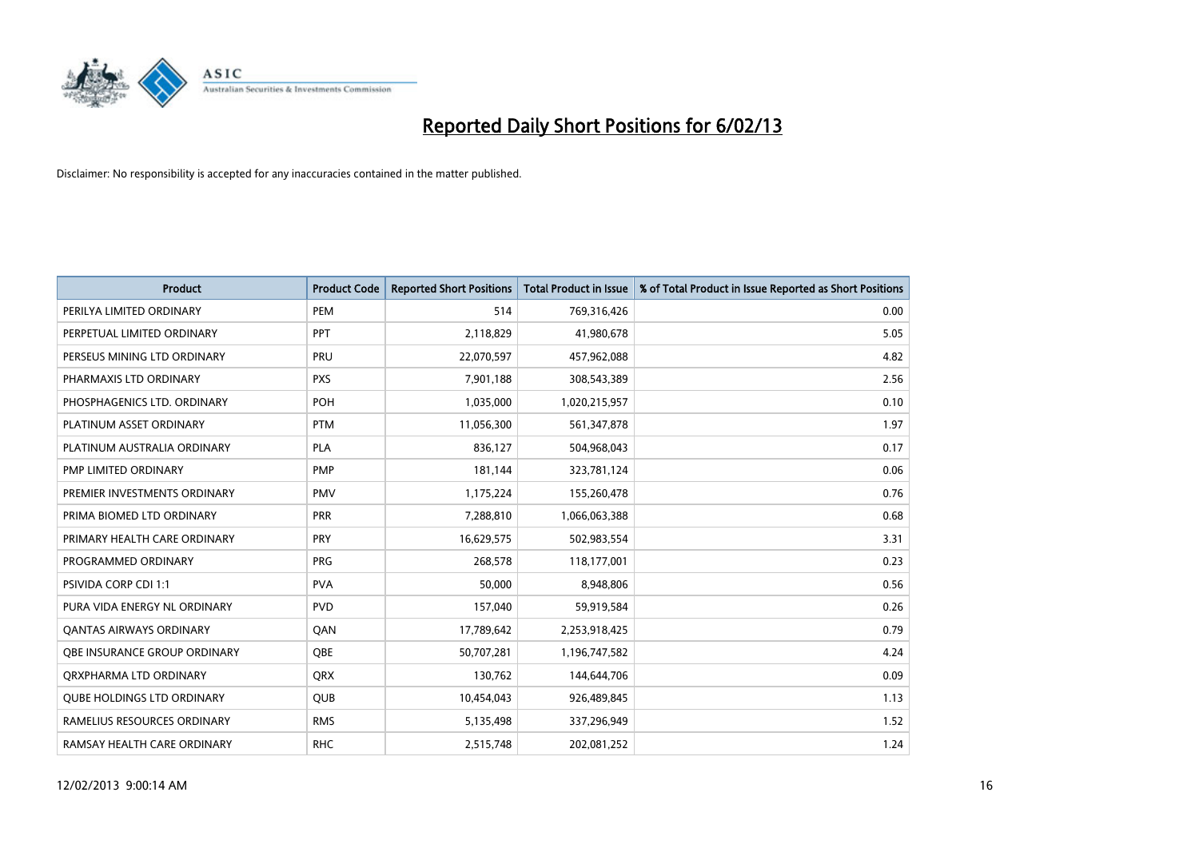

| <b>Product</b>                    | <b>Product Code</b> | <b>Reported Short Positions</b> | <b>Total Product in Issue</b> | % of Total Product in Issue Reported as Short Positions |
|-----------------------------------|---------------------|---------------------------------|-------------------------------|---------------------------------------------------------|
| PERILYA LIMITED ORDINARY          | PEM                 | 514                             | 769,316,426                   | 0.00                                                    |
| PERPETUAL LIMITED ORDINARY        | PPT                 | 2,118,829                       | 41,980,678                    | 5.05                                                    |
| PERSEUS MINING LTD ORDINARY       | PRU                 | 22,070,597                      | 457,962,088                   | 4.82                                                    |
| PHARMAXIS LTD ORDINARY            | <b>PXS</b>          | 7,901,188                       | 308,543,389                   | 2.56                                                    |
| PHOSPHAGENICS LTD. ORDINARY       | POH                 | 1,035,000                       | 1,020,215,957                 | 0.10                                                    |
| PLATINUM ASSET ORDINARY           | <b>PTM</b>          | 11,056,300                      | 561,347,878                   | 1.97                                                    |
| PLATINUM AUSTRALIA ORDINARY       | <b>PLA</b>          | 836,127                         | 504,968,043                   | 0.17                                                    |
| PMP LIMITED ORDINARY              | <b>PMP</b>          | 181,144                         | 323,781,124                   | 0.06                                                    |
| PREMIER INVESTMENTS ORDINARY      | <b>PMV</b>          | 1,175,224                       | 155,260,478                   | 0.76                                                    |
| PRIMA BIOMED LTD ORDINARY         | <b>PRR</b>          | 7,288,810                       | 1,066,063,388                 | 0.68                                                    |
| PRIMARY HEALTH CARE ORDINARY      | <b>PRY</b>          | 16,629,575                      | 502,983,554                   | 3.31                                                    |
| PROGRAMMED ORDINARY               | <b>PRG</b>          | 268,578                         | 118,177,001                   | 0.23                                                    |
| <b>PSIVIDA CORP CDI 1:1</b>       | <b>PVA</b>          | 50,000                          | 8,948,806                     | 0.56                                                    |
| PURA VIDA ENERGY NL ORDINARY      | <b>PVD</b>          | 157,040                         | 59,919,584                    | 0.26                                                    |
| <b>QANTAS AIRWAYS ORDINARY</b>    | QAN                 | 17,789,642                      | 2,253,918,425                 | 0.79                                                    |
| OBE INSURANCE GROUP ORDINARY      | <b>OBE</b>          | 50,707,281                      | 1,196,747,582                 | 4.24                                                    |
| ORXPHARMA LTD ORDINARY            | <b>QRX</b>          | 130,762                         | 144,644,706                   | 0.09                                                    |
| <b>QUBE HOLDINGS LTD ORDINARY</b> | QUB                 | 10,454,043                      | 926,489,845                   | 1.13                                                    |
| RAMELIUS RESOURCES ORDINARY       | <b>RMS</b>          | 5,135,498                       | 337,296,949                   | 1.52                                                    |
| RAMSAY HEALTH CARE ORDINARY       | <b>RHC</b>          | 2,515,748                       | 202,081,252                   | 1.24                                                    |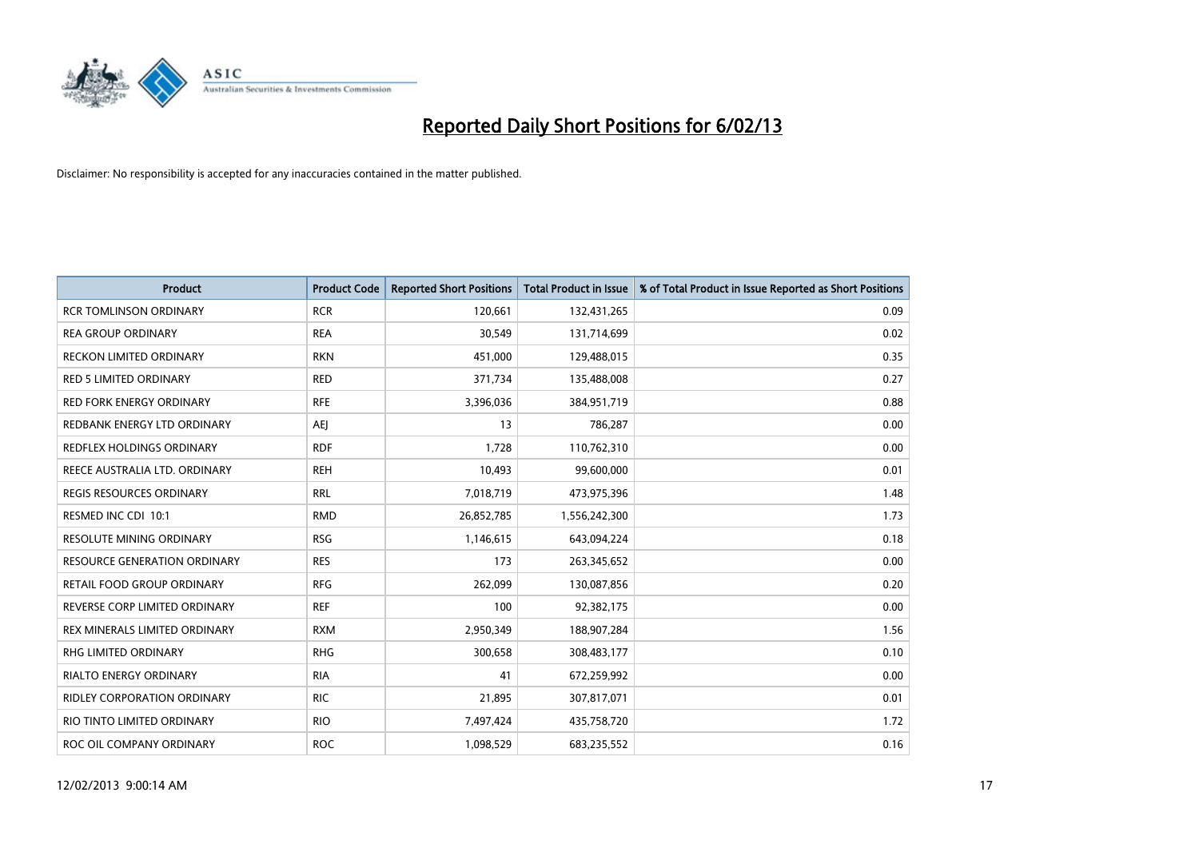

| <b>Product</b>                      | <b>Product Code</b> | <b>Reported Short Positions</b> | <b>Total Product in Issue</b> | % of Total Product in Issue Reported as Short Positions |
|-------------------------------------|---------------------|---------------------------------|-------------------------------|---------------------------------------------------------|
| <b>RCR TOMLINSON ORDINARY</b>       | <b>RCR</b>          | 120,661                         | 132,431,265                   | 0.09                                                    |
| <b>REA GROUP ORDINARY</b>           | <b>REA</b>          | 30,549                          | 131,714,699                   | 0.02                                                    |
| <b>RECKON LIMITED ORDINARY</b>      | <b>RKN</b>          | 451,000                         | 129,488,015                   | 0.35                                                    |
| RED 5 LIMITED ORDINARY              | <b>RED</b>          | 371,734                         | 135,488,008                   | 0.27                                                    |
| <b>RED FORK ENERGY ORDINARY</b>     | <b>RFE</b>          | 3,396,036                       | 384,951,719                   | 0.88                                                    |
| REDBANK ENERGY LTD ORDINARY         | AEJ                 | 13                              | 786,287                       | 0.00                                                    |
| REDFLEX HOLDINGS ORDINARY           | <b>RDF</b>          | 1.728                           | 110,762,310                   | 0.00                                                    |
| REECE AUSTRALIA LTD. ORDINARY       | <b>REH</b>          | 10,493                          | 99,600,000                    | 0.01                                                    |
| REGIS RESOURCES ORDINARY            | <b>RRL</b>          | 7,018,719                       | 473,975,396                   | 1.48                                                    |
| RESMED INC CDI 10:1                 | <b>RMD</b>          | 26,852,785                      | 1,556,242,300                 | 1.73                                                    |
| <b>RESOLUTE MINING ORDINARY</b>     | <b>RSG</b>          | 1,146,615                       | 643,094,224                   | 0.18                                                    |
| <b>RESOURCE GENERATION ORDINARY</b> | <b>RES</b>          | 173                             | 263,345,652                   | 0.00                                                    |
| RETAIL FOOD GROUP ORDINARY          | <b>RFG</b>          | 262,099                         | 130,087,856                   | 0.20                                                    |
| REVERSE CORP LIMITED ORDINARY       | <b>REF</b>          | 100                             | 92,382,175                    | 0.00                                                    |
| REX MINERALS LIMITED ORDINARY       | <b>RXM</b>          | 2,950,349                       | 188,907,284                   | 1.56                                                    |
| <b>RHG LIMITED ORDINARY</b>         | <b>RHG</b>          | 300,658                         | 308,483,177                   | 0.10                                                    |
| <b>RIALTO ENERGY ORDINARY</b>       | <b>RIA</b>          | 41                              | 672,259,992                   | 0.00                                                    |
| RIDLEY CORPORATION ORDINARY         | <b>RIC</b>          | 21,895                          | 307,817,071                   | 0.01                                                    |
| RIO TINTO LIMITED ORDINARY          | <b>RIO</b>          | 7,497,424                       | 435,758,720                   | 1.72                                                    |
| ROC OIL COMPANY ORDINARY            | <b>ROC</b>          | 1,098,529                       | 683,235,552                   | 0.16                                                    |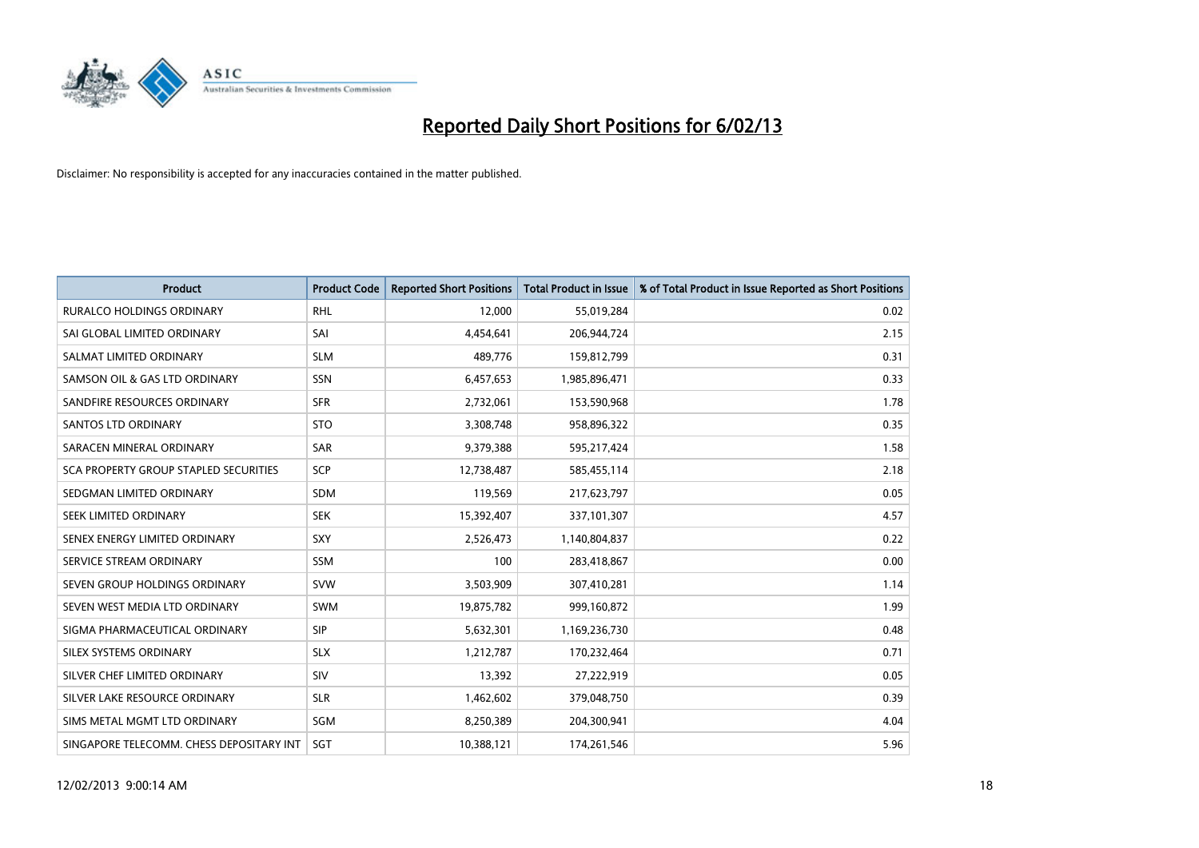

| <b>Product</b>                               | <b>Product Code</b> | <b>Reported Short Positions</b> | <b>Total Product in Issue</b> | % of Total Product in Issue Reported as Short Positions |
|----------------------------------------------|---------------------|---------------------------------|-------------------------------|---------------------------------------------------------|
| <b>RURALCO HOLDINGS ORDINARY</b>             | <b>RHL</b>          | 12,000                          | 55,019,284                    | 0.02                                                    |
| SAI GLOBAL LIMITED ORDINARY                  | SAI                 | 4,454,641                       | 206,944,724                   | 2.15                                                    |
| SALMAT LIMITED ORDINARY                      | <b>SLM</b>          | 489,776                         | 159,812,799                   | 0.31                                                    |
| SAMSON OIL & GAS LTD ORDINARY                | SSN                 | 6,457,653                       | 1,985,896,471                 | 0.33                                                    |
| SANDFIRE RESOURCES ORDINARY                  | <b>SFR</b>          | 2,732,061                       | 153,590,968                   | 1.78                                                    |
| <b>SANTOS LTD ORDINARY</b>                   | <b>STO</b>          | 3,308,748                       | 958,896,322                   | 0.35                                                    |
| SARACEN MINERAL ORDINARY                     | <b>SAR</b>          | 9,379,388                       | 595,217,424                   | 1.58                                                    |
| <b>SCA PROPERTY GROUP STAPLED SECURITIES</b> | SCP                 | 12,738,487                      | 585,455,114                   | 2.18                                                    |
| SEDGMAN LIMITED ORDINARY                     | SDM                 | 119,569                         | 217,623,797                   | 0.05                                                    |
| SEEK LIMITED ORDINARY                        | <b>SEK</b>          | 15,392,407                      | 337,101,307                   | 4.57                                                    |
| SENEX ENERGY LIMITED ORDINARY                | <b>SXY</b>          | 2,526,473                       | 1,140,804,837                 | 0.22                                                    |
| SERVICE STREAM ORDINARY                      | <b>SSM</b>          | 100                             | 283,418,867                   | 0.00                                                    |
| SEVEN GROUP HOLDINGS ORDINARY                | <b>SVW</b>          | 3,503,909                       | 307,410,281                   | 1.14                                                    |
| SEVEN WEST MEDIA LTD ORDINARY                | <b>SWM</b>          | 19,875,782                      | 999,160,872                   | 1.99                                                    |
| SIGMA PHARMACEUTICAL ORDINARY                | <b>SIP</b>          | 5,632,301                       | 1,169,236,730                 | 0.48                                                    |
| SILEX SYSTEMS ORDINARY                       | <b>SLX</b>          | 1,212,787                       | 170,232,464                   | 0.71                                                    |
| SILVER CHEF LIMITED ORDINARY                 | SIV                 | 13,392                          | 27,222,919                    | 0.05                                                    |
| SILVER LAKE RESOURCE ORDINARY                | <b>SLR</b>          | 1,462,602                       | 379,048,750                   | 0.39                                                    |
| SIMS METAL MGMT LTD ORDINARY                 | SGM                 | 8,250,389                       | 204,300,941                   | 4.04                                                    |
| SINGAPORE TELECOMM. CHESS DEPOSITARY INT     | <b>SGT</b>          | 10,388,121                      | 174,261,546                   | 5.96                                                    |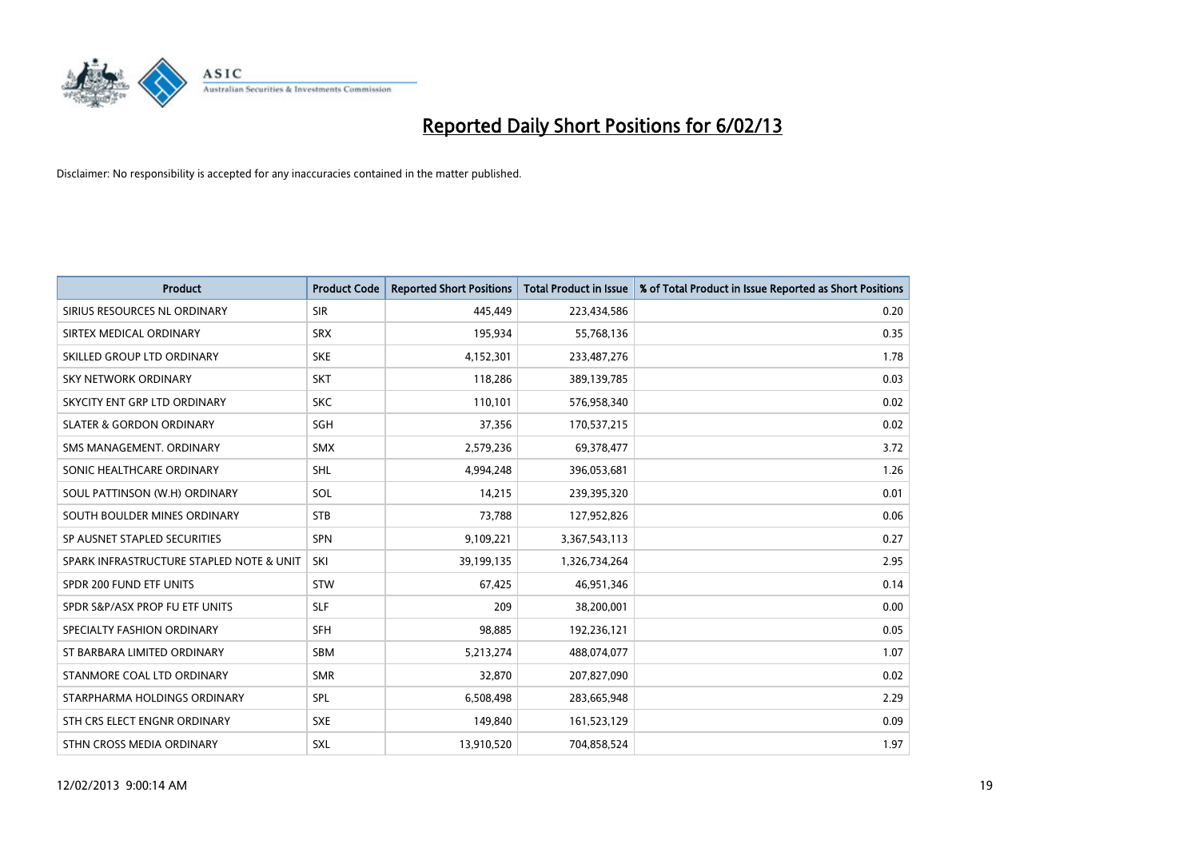

| <b>Product</b>                           | <b>Product Code</b> | <b>Reported Short Positions</b> | <b>Total Product in Issue</b> | % of Total Product in Issue Reported as Short Positions |
|------------------------------------------|---------------------|---------------------------------|-------------------------------|---------------------------------------------------------|
| SIRIUS RESOURCES NL ORDINARY             | <b>SIR</b>          | 445.449                         | 223,434,586                   | 0.20                                                    |
| SIRTEX MEDICAL ORDINARY                  | <b>SRX</b>          | 195,934                         | 55,768,136                    | 0.35                                                    |
| SKILLED GROUP LTD ORDINARY               | <b>SKE</b>          | 4,152,301                       | 233,487,276                   | 1.78                                                    |
| SKY NETWORK ORDINARY                     | <b>SKT</b>          | 118,286                         | 389,139,785                   | 0.03                                                    |
| SKYCITY ENT GRP LTD ORDINARY             | <b>SKC</b>          | 110,101                         | 576,958,340                   | 0.02                                                    |
| <b>SLATER &amp; GORDON ORDINARY</b>      | SGH                 | 37,356                          | 170,537,215                   | 0.02                                                    |
| SMS MANAGEMENT, ORDINARY                 | <b>SMX</b>          | 2,579,236                       | 69,378,477                    | 3.72                                                    |
| SONIC HEALTHCARE ORDINARY                | <b>SHL</b>          | 4,994,248                       | 396,053,681                   | 1.26                                                    |
| SOUL PATTINSON (W.H) ORDINARY            | SOL                 | 14,215                          | 239,395,320                   | 0.01                                                    |
| SOUTH BOULDER MINES ORDINARY             | <b>STB</b>          | 73,788                          | 127,952,826                   | 0.06                                                    |
| SP AUSNET STAPLED SECURITIES             | <b>SPN</b>          | 9,109,221                       | 3,367,543,113                 | 0.27                                                    |
| SPARK INFRASTRUCTURE STAPLED NOTE & UNIT | SKI                 | 39,199,135                      | 1,326,734,264                 | 2.95                                                    |
| SPDR 200 FUND ETF UNITS                  | <b>STW</b>          | 67,425                          | 46,951,346                    | 0.14                                                    |
| SPDR S&P/ASX PROP FU ETF UNITS           | <b>SLF</b>          | 209                             | 38,200,001                    | 0.00                                                    |
| SPECIALTY FASHION ORDINARY               | <b>SFH</b>          | 98,885                          | 192,236,121                   | 0.05                                                    |
| ST BARBARA LIMITED ORDINARY              | <b>SBM</b>          | 5,213,274                       | 488,074,077                   | 1.07                                                    |
| STANMORE COAL LTD ORDINARY               | <b>SMR</b>          | 32,870                          | 207,827,090                   | 0.02                                                    |
| STARPHARMA HOLDINGS ORDINARY             | SPL                 | 6,508,498                       | 283,665,948                   | 2.29                                                    |
| STH CRS ELECT ENGNR ORDINARY             | <b>SXE</b>          | 149,840                         | 161,523,129                   | 0.09                                                    |
| STHN CROSS MEDIA ORDINARY                | <b>SXL</b>          | 13,910,520                      | 704,858,524                   | 1.97                                                    |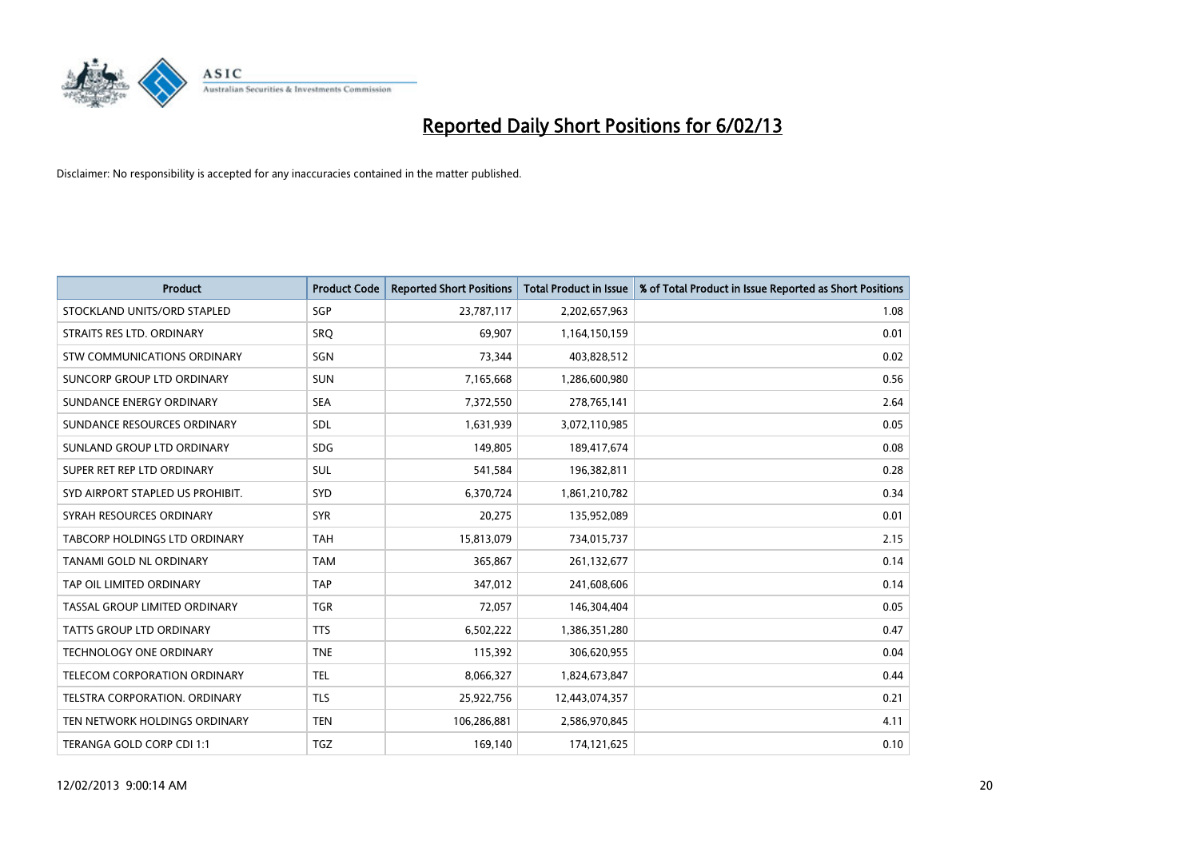

| <b>Product</b>                   | <b>Product Code</b> | <b>Reported Short Positions</b> | <b>Total Product in Issue</b> | % of Total Product in Issue Reported as Short Positions |
|----------------------------------|---------------------|---------------------------------|-------------------------------|---------------------------------------------------------|
| STOCKLAND UNITS/ORD STAPLED      | SGP                 | 23,787,117                      | 2,202,657,963                 | 1.08                                                    |
| STRAITS RES LTD. ORDINARY        | SRO                 | 69,907                          | 1,164,150,159                 | 0.01                                                    |
| STW COMMUNICATIONS ORDINARY      | SGN                 | 73,344                          | 403,828,512                   | 0.02                                                    |
| SUNCORP GROUP LTD ORDINARY       | <b>SUN</b>          | 7,165,668                       | 1,286,600,980                 | 0.56                                                    |
| SUNDANCE ENERGY ORDINARY         | <b>SEA</b>          | 7,372,550                       | 278,765,141                   | 2.64                                                    |
| SUNDANCE RESOURCES ORDINARY      | SDL                 | 1,631,939                       | 3,072,110,985                 | 0.05                                                    |
| SUNLAND GROUP LTD ORDINARY       | <b>SDG</b>          | 149,805                         | 189,417,674                   | 0.08                                                    |
| SUPER RET REP LTD ORDINARY       | <b>SUL</b>          | 541,584                         | 196,382,811                   | 0.28                                                    |
| SYD AIRPORT STAPLED US PROHIBIT. | <b>SYD</b>          | 6,370,724                       | 1,861,210,782                 | 0.34                                                    |
| SYRAH RESOURCES ORDINARY         | <b>SYR</b>          | 20,275                          | 135,952,089                   | 0.01                                                    |
| TABCORP HOLDINGS LTD ORDINARY    | <b>TAH</b>          | 15,813,079                      | 734,015,737                   | 2.15                                                    |
| TANAMI GOLD NL ORDINARY          | <b>TAM</b>          | 365,867                         | 261,132,677                   | 0.14                                                    |
| TAP OIL LIMITED ORDINARY         | <b>TAP</b>          | 347,012                         | 241,608,606                   | 0.14                                                    |
| TASSAL GROUP LIMITED ORDINARY    | <b>TGR</b>          | 72,057                          | 146,304,404                   | 0.05                                                    |
| TATTS GROUP LTD ORDINARY         | <b>TTS</b>          | 6,502,222                       | 1,386,351,280                 | 0.47                                                    |
| <b>TECHNOLOGY ONE ORDINARY</b>   | <b>TNE</b>          | 115,392                         | 306,620,955                   | 0.04                                                    |
| TELECOM CORPORATION ORDINARY     | <b>TEL</b>          | 8,066,327                       | 1,824,673,847                 | 0.44                                                    |
| TELSTRA CORPORATION. ORDINARY    | <b>TLS</b>          | 25,922,756                      | 12,443,074,357                | 0.21                                                    |
| TEN NETWORK HOLDINGS ORDINARY    | <b>TEN</b>          | 106,286,881                     | 2,586,970,845                 | 4.11                                                    |
| TERANGA GOLD CORP CDI 1:1        | <b>TGZ</b>          | 169,140                         | 174,121,625                   | 0.10                                                    |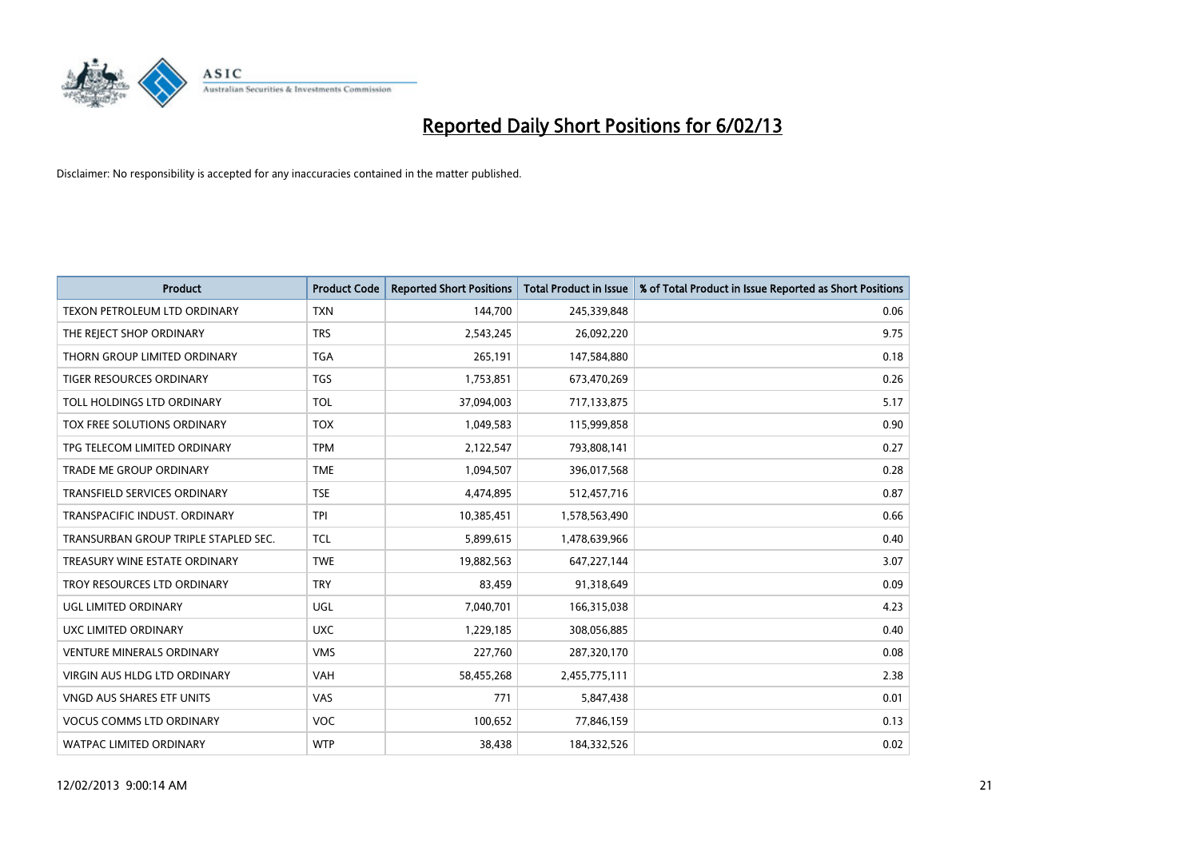

| <b>Product</b>                       | <b>Product Code</b> | <b>Reported Short Positions</b> | <b>Total Product in Issue</b> | % of Total Product in Issue Reported as Short Positions |
|--------------------------------------|---------------------|---------------------------------|-------------------------------|---------------------------------------------------------|
| TEXON PETROLEUM LTD ORDINARY         | <b>TXN</b>          | 144,700                         | 245,339,848                   | 0.06                                                    |
| THE REJECT SHOP ORDINARY             | <b>TRS</b>          | 2,543,245                       | 26,092,220                    | 9.75                                                    |
| THORN GROUP LIMITED ORDINARY         | <b>TGA</b>          | 265,191                         | 147,584,880                   | 0.18                                                    |
| TIGER RESOURCES ORDINARY             | <b>TGS</b>          | 1,753,851                       | 673,470,269                   | 0.26                                                    |
| TOLL HOLDINGS LTD ORDINARY           | <b>TOL</b>          | 37,094,003                      | 717,133,875                   | 5.17                                                    |
| TOX FREE SOLUTIONS ORDINARY          | <b>TOX</b>          | 1,049,583                       | 115,999,858                   | 0.90                                                    |
| TPG TELECOM LIMITED ORDINARY         | <b>TPM</b>          | 2,122,547                       | 793,808,141                   | 0.27                                                    |
| TRADE ME GROUP ORDINARY              | <b>TME</b>          | 1,094,507                       | 396,017,568                   | 0.28                                                    |
| <b>TRANSFIELD SERVICES ORDINARY</b>  | <b>TSE</b>          | 4,474,895                       | 512,457,716                   | 0.87                                                    |
| TRANSPACIFIC INDUST, ORDINARY        | <b>TPI</b>          | 10,385,451                      | 1,578,563,490                 | 0.66                                                    |
| TRANSURBAN GROUP TRIPLE STAPLED SEC. | <b>TCL</b>          | 5,899,615                       | 1,478,639,966                 | 0.40                                                    |
| TREASURY WINE ESTATE ORDINARY        | <b>TWE</b>          | 19,882,563                      | 647,227,144                   | 3.07                                                    |
| TROY RESOURCES LTD ORDINARY          | <b>TRY</b>          | 83,459                          | 91,318,649                    | 0.09                                                    |
| UGL LIMITED ORDINARY                 | UGL                 | 7,040,701                       | 166,315,038                   | 4.23                                                    |
| UXC LIMITED ORDINARY                 | <b>UXC</b>          | 1,229,185                       | 308,056,885                   | 0.40                                                    |
| <b>VENTURE MINERALS ORDINARY</b>     | <b>VMS</b>          | 227,760                         | 287,320,170                   | 0.08                                                    |
| VIRGIN AUS HLDG LTD ORDINARY         | <b>VAH</b>          | 58,455,268                      | 2,455,775,111                 | 2.38                                                    |
| VNGD AUS SHARES ETF UNITS            | VAS                 | 771                             | 5,847,438                     | 0.01                                                    |
| <b>VOCUS COMMS LTD ORDINARY</b>      | <b>VOC</b>          | 100,652                         | 77,846,159                    | 0.13                                                    |
| WATPAC LIMITED ORDINARY              | <b>WTP</b>          | 38,438                          | 184,332,526                   | 0.02                                                    |